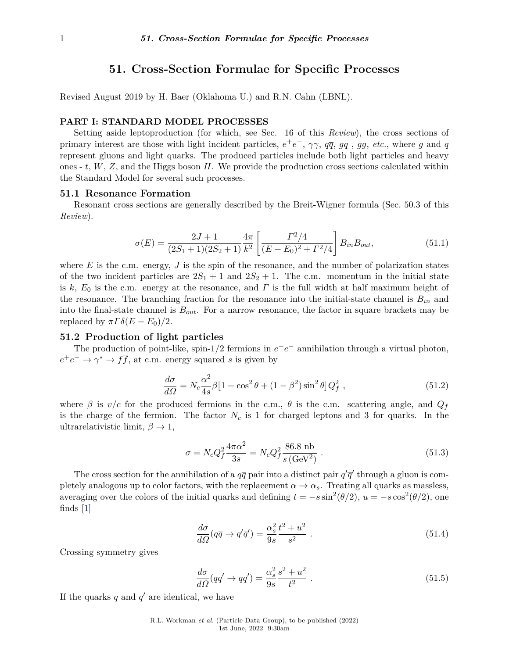# **51. Cross-Section Formulae for Specific Processes**

Revised August 2019 by H. Baer (Oklahoma U.) and R.N. Cahn (LBNL).

## **PART I: STANDARD MODEL PROCESSES**

Setting aside leptoproduction (for which, see Sec. 16 of this *Review*), the cross sections of primary interest are those with light incident particles,  $e^+e^-$ ,  $\gamma\gamma$ ,  $q\bar{q}$ ,  $gq$ ,  $gg$ , *etc.*, where *g* and *q* represent gluons and light quarks. The produced particles include both light particles and heavy ones - *t*, *W*, *Z*, and the Higgs boson *H*. We provide the production cross sections calculated within the Standard Model for several such processes.

## **51.1 Resonance Formation**

Resonant cross sections are generally described by the Breit-Wigner formula (Sec. 50.3 of this *Review*).

$$
\sigma(E) = \frac{2J+1}{(2S_1+1)(2S_2+1)} \frac{4\pi}{k^2} \left[ \frac{\Gamma^2/4}{(E-E_0)^2 + \Gamma^2/4} \right] B_{in} B_{out}, \tag{51.1}
$$

where  $E$  is the c.m. energy,  $J$  is the spin of the resonance, and the number of polarization states of the two incident particles are  $2S_1 + 1$  and  $2S_2 + 1$ . The c.m. momentum in the initial state is  $k, E_0$  is the c.m. energy at the resonance, and  $\Gamma$  is the full width at half maximum height of the resonance. The branching fraction for the resonance into the initial-state channel is  $B_{in}$  and into the final-state channel is *Bout*. For a narrow resonance, the factor in square brackets may be replaced by  $\pi \Gamma \delta(E - E_0)/2$ .

## **51.2 Production of light particles**

The production of point-like, spin-1/2 fermions in  $e^+e^-$  annihilation through a virtual photon,  $e^+e^- \to \gamma^* \to f\overline{f}$ , at c.m. energy squared *s* is given by

$$
\frac{d\sigma}{d\Omega} = N_c \frac{\alpha^2}{4s} \beta \left[ 1 + \cos^2 \theta + (1 - \beta^2) \sin^2 \theta \right] Q_f^2 \,,\tag{51.2}
$$

where  $\beta$  is  $v/c$  for the produced fermions in the c.m.,  $\theta$  is the c.m. scattering angle, and  $Q_f$ is the charge of the fermion. The factor *N<sup>c</sup>* is 1 for charged leptons and 3 for quarks. In the ultrarelativistic limit,  $\beta \rightarrow 1$ ,

$$
\sigma = N_c Q_f^2 \frac{4\pi\alpha^2}{3s} = N_c Q_f^2 \frac{86.8 \text{ nb}}{s \text{ (GeV}^2)} \,. \tag{51.3}
$$

The cross section for the annihilation of a  $q\bar{q}$  pair into a distinct pair  $q'\bar{q}'$  through a gluon is completely analogous up to color factors, with the replacement  $\alpha \to \alpha_s$ . Treating all quarks as massless, averaging over the colors of the initial quarks and defining  $t = -s \sin^2(\theta/2)$ ,  $u = -s \cos^2(\theta/2)$ , one finds  $|1|$ 

$$
\frac{d\sigma}{d\Omega}(q\overline{q}\rightarrow q'\overline{q}') = \frac{\alpha_s^2}{9s} \frac{t^2 + u^2}{s^2} \ . \tag{51.4}
$$

Crossing symmetry gives

$$
\frac{d\sigma}{d\Omega}(qq' \to qq') = \frac{\alpha_s^2}{9s} \frac{s^2 + u^2}{t^2} \ . \tag{51.5}
$$

If the quarks  $q$  and  $q'$  are identical, we have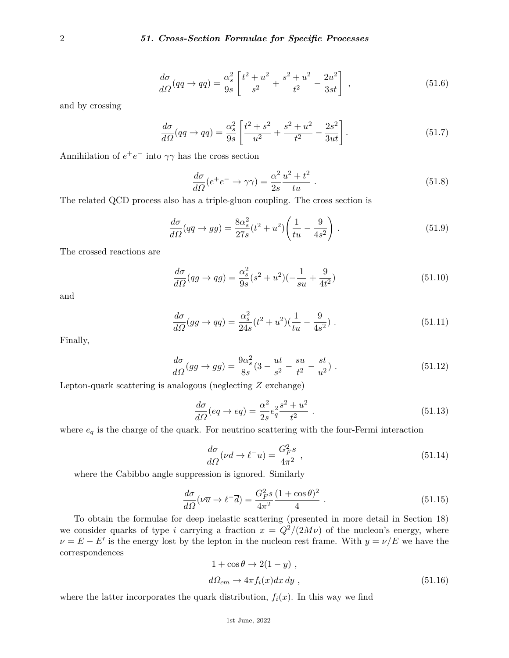$$
\frac{d\sigma}{d\Omega}(q\overline{q} \to q\overline{q}) = \frac{\alpha_s^2}{9s} \left[ \frac{t^2 + u^2}{s^2} + \frac{s^2 + u^2}{t^2} - \frac{2u^2}{3st} \right] \,,\tag{51.6}
$$

and by crossing

$$
\frac{d\sigma}{d\Omega}(qq \to qq) = \frac{\alpha_s^2}{9s} \left[ \frac{t^2 + s^2}{u^2} + \frac{s^2 + u^2}{t^2} - \frac{2s^2}{3ut} \right].
$$
\n(51.7)

Annihilation of  $e^+e^-$  into  $\gamma\gamma$  has the cross section

$$
\frac{d\sigma}{d\Omega}(e^+e^- \to \gamma\gamma) = \frac{\alpha^2}{2s} \frac{u^2 + t^2}{tu} \ . \tag{51.8}
$$

The related QCD process also has a triple-gluon coupling. The cross section is

$$
\frac{d\sigma}{d\Omega}(q\overline{q}\rightarrow gg) = \frac{8\alpha_s^2}{27s}(t^2+u^2)\left(\frac{1}{tu}-\frac{9}{4s^2}\right). \tag{51.9}
$$

The crossed reactions are

$$
\frac{d\sigma}{d\Omega}(qg \to qg) = \frac{\alpha_s^2}{9s}(s^2 + u^2)(-\frac{1}{su} + \frac{9}{4t^2})
$$
\n(51.10)

and

$$
\frac{d\sigma}{d\Omega}(gg \to q\overline{q}) = \frac{\alpha_s^2}{24s}(t^2 + u^2)(\frac{1}{tu} - \frac{9}{4s^2}).
$$
\n(51.11)

Finally,

$$
\frac{d\sigma}{d\Omega}(gg \to gg) = \frac{9\alpha_s^2}{8s}(3 - \frac{ut}{s^2} - \frac{su}{t^2} - \frac{st}{u^2}).
$$
\n(51.12)

Lepton-quark scattering is analogous (neglecting *Z* exchange)

$$
\frac{d\sigma}{d\Omega}(eq \to eq) = \frac{\alpha^2}{2s}e_q^2 \frac{s^2 + u^2}{t^2} \ . \tag{51.13}
$$

where  $\boldsymbol{e}_{q}$  is the charge of the quark. For neutrino scattering with the four-Fermi interaction

$$
\frac{d\sigma}{d\Omega}(\nu d \to \ell^- u) = \frac{G_F^2 s}{4\pi^2} \,,\tag{51.14}
$$

where the Cabibbo angle suppression is ignored. Similarly

$$
\frac{d\sigma}{d\Omega}(\nu \overline{u} \to \ell^- \overline{d}) = \frac{G_F^2 s}{4\pi^2} \frac{(1 + \cos \theta)^2}{4} \,. \tag{51.15}
$$

To obtain the formulae for deep inelastic scattering (presented in more detail in Section 18) we consider quarks of type *i* carrying a fraction  $x = Q^2/(2M\nu)$  of the nucleon's energy, where  $\nu = E - E'$  is the energy lost by the lepton in the nucleon rest frame. With  $y = \nu/E$  we have the correspondences

$$
1 + \cos \theta \to 2(1 - y) ,
$$
  

$$
d\Omega_{cm} \to 4\pi f_i(x) dx dy ,
$$
 (51.16)

where the latter incorporates the quark distribution,  $f_i(x)$ . In this way we find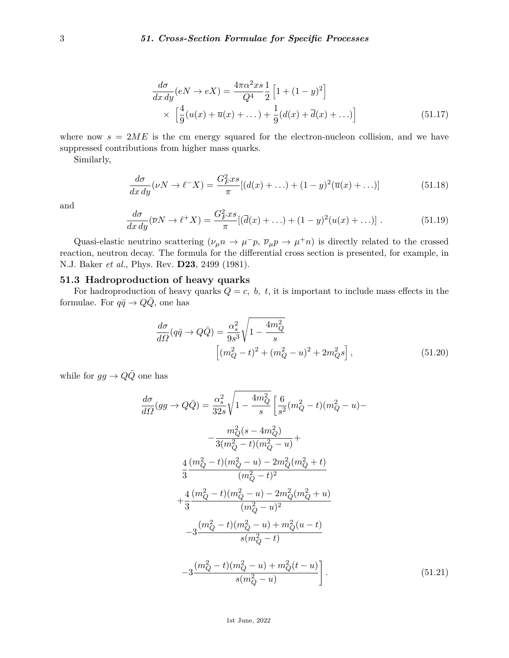$$
\frac{d\sigma}{dx\,dy}(eN \to eX) = \frac{4\pi\alpha^2 xs}{Q^4} \frac{1}{2} \left[ 1 + (1 - y)^2 \right]
$$
\n
$$
\times \left[ \frac{4}{9}(u(x) + \overline{u}(x) + \dots) + \frac{1}{9}(d(x) + \overline{d}(x) + \dots) \right]
$$
\n(51.17)

where now  $s = 2ME$  is the cm energy squared for the electron-nucleon collision, and we have suppressed contributions from higher mass quarks.

Similarly,

$$
\frac{d\sigma}{dx\,dy}(\nu N \to \ell^- X) = \frac{G_F^2 x s}{\pi} [(d(x) + \dots) + (1 - y)^2 (\overline{u}(x) + \dots)] \tag{51.18}
$$

and

$$
\frac{d\sigma}{dx\,dy}(\overline{\nu}N \to \ell^+X) = \frac{G_F^2 xs}{\pi} [(\overline{d}(x) + \dots) + (1-y)^2 (u(x) + \dots)] \ . \tag{51.19}
$$

Quasi-elastic neutrino scattering  $(\nu_{\mu}n \to \mu^-p, \bar{\nu}_{\mu}p \to \mu^+n)$  is directly related to the crossed reaction, neutron decay. The formula for the differential cross section is presented, for example, in N.J. Baker *et al.*, Phys. Rev. **D23**, 2499 (1981).

## **51.3 Hadroproduction of heavy quarks**

For hadroproduction of heavy quarks  $Q = c$ ,  $b$ ,  $t$ , it is important to include mass effects in the formulae. For  $q\bar{q} \to Q\bar{Q}$ , one has

$$
\frac{d\sigma}{d\Omega}(q\bar{q} \to Q\bar{Q}) = \frac{\alpha_s^2}{9s^3} \sqrt{1 - \frac{4m_Q^2}{s}} \left[ (m_Q^2 - t)^2 + (m_Q^2 - u)^2 + 2m_Q^2 s \right],
$$
\n(51.20)

while for  $gg \to Q\bar{Q}$  one has

$$
\frac{d\sigma}{d\Omega}(gg \to Q\bar{Q}) = \frac{\alpha_s^2}{32s}\sqrt{1 - \frac{4m_Q^2}{s}} \left[\frac{6}{s^2}(m_Q^2 - t)(m_Q^2 - u) - \frac{m_Q^2(s - 4m_Q^2)}{3(m_Q^2 - t)(m_Q^2 - u)} + \frac{4}{3}\frac{(m_Q^2 - t)(m_Q^2 - u) - 2m_Q^2(m_Q^2 + t)}{(m_Q^2 - t)^2} + \frac{4}{3}\frac{(m_Q^2 - t)(m_Q^2 - u) - 2m_Q^2(m_Q^2 + u)}{(m_Q^2 - u)^2} - 3\frac{(m_Q^2 - t)(m_Q^2 - u) + m_Q^2(u - t)}{s(m_Q^2 - t)} - 3\frac{(m_Q^2 - t)(m_Q^2 - u) + m_Q^2(t - u)}{s(m_Q^2 - u)}\right].
$$
\n(51.21)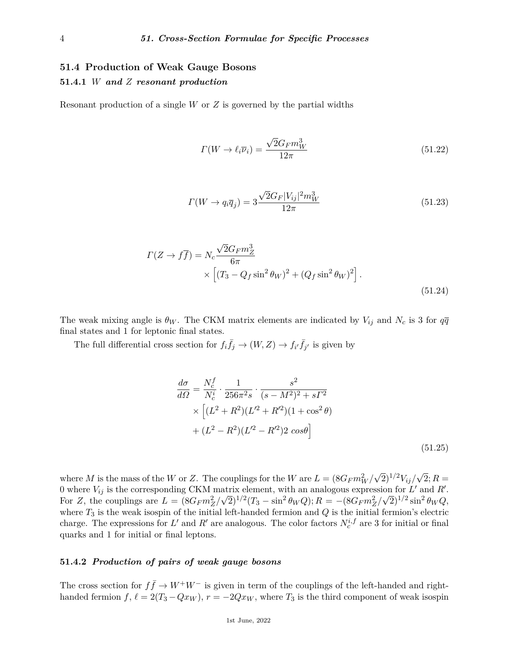# **51.4 Production of Weak Gauge Bosons 51.4.1** *W and Z resonant production*

Resonant production of a single *W* or *Z* is governed by the partial widths

$$
\Gamma(W \to \ell_i \overline{\nu}_i) = \frac{\sqrt{2} G_F m_W^3}{12\pi} \tag{51.22}
$$

$$
\Gamma(W \to q_i \overline{q}_j) = 3 \frac{\sqrt{2} G_F |V_{ij}|^2 m_W^3}{12\pi} \tag{51.23}
$$

$$
\Gamma(Z \to f\overline{f}) = N_c \frac{\sqrt{2}G_F m_Z^3}{6\pi} \times \left[ (T_3 - Q_f \sin^2 \theta_W)^2 + (Q_f \sin^2 \theta_W)^2 \right].
$$
\n(51.24)

The weak mixing angle is  $\theta_W$ . The CKM matrix elements are indicated by  $V_{ij}$  and  $N_c$  is 3 for  $q\overline{q}$ final states and 1 for leptonic final states.

The full differential cross section for  $f_i \bar{f}_j \to (W, Z) \to f_{i'} \bar{f}_{j'}$  is given by

$$
\frac{d\sigma}{d\Omega} = \frac{N_c^f}{N_c^i} \cdot \frac{1}{256\pi^2 s} \cdot \frac{s^2}{(s - M^2)^2 + s\Gamma^2} \times \left[ (L^2 + R^2)(L'^2 + R'^2)(1 + \cos^2\theta) \n+ (L^2 - R^2)(L'^2 - R'^2)2\cos\theta \right]
$$
\n(51.25)

where *M* is the mass of the *W* or *Z*. The couplings for the *W* are  $L = (8G_F m_W^2)$  $\sqrt{2}$ <sup>1/2</sup>*V*<sub>*ij*</sub>/√  $2; R =$ 0 where  $V_{ij}$  is the corresponding CKM matrix element, with an analogous expression for *L'* and *R'*. For Z, the couplings are  $L = (8G_F m_Z^2/\sqrt{2})^{1/2} (T_3 - \sin^2 \theta_W Q); R = -(8G_F m_Z^2/\sqrt{2})^{1/2} \sin^2 \theta_W Q,$ where *T*<sup>3</sup> is the weak isospin of the initial left-handed fermion and *Q* is the initial fermion's electric charge. The expressions for  $L'$  and  $R'$  are analogous. The color factors  $N_c^{i,f}$  are 3 for initial or final quarks and 1 for initial or final leptons.

## **51.4.2** *Production of pairs of weak gauge bosons*

The cross section for  $f\bar{f} \to W^+W^-$  is given in term of the couplings of the left-handed and righthanded fermion  $f, \ell = 2(T_3 - Qx_W)$ ,  $r = -2Qx_W$ , where  $T_3$  is the third component of weak isospin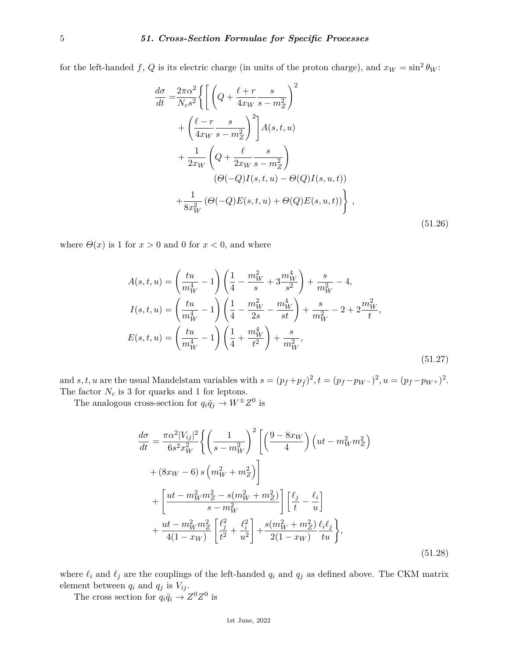for the left-handed f, Q is its electric charge (in units of the proton charge), and  $x_W = \sin^2 \theta_W$ :

$$
\frac{d\sigma}{dt} = \frac{2\pi\alpha^2}{N_c s^2} \left\{ \left[ \left( Q + \frac{\ell + r}{4x_W} \frac{s}{s - m_Z^2} \right)^2 \right] + \left( \frac{\ell - r}{4x_W} \frac{s}{s - m_Z^2} \right)^2 \right] A(s, t, u) \n+ \frac{1}{2x_W} \left( Q + \frac{\ell}{2x_W} \frac{s}{s - m_Z^2} \right) \n\left( \Theta(-Q)I(s, t, u) - \Theta(Q)I(s, u, t) \right) \n+ \frac{1}{8x_W^2} \left( \Theta(-Q)E(s, t, u) + \Theta(Q)E(s, u, t) \right) \right\},
$$
\n(51.26)

where  $\Theta(x)$  is 1 for  $x > 0$  and 0 for  $x < 0$ , and where

$$
A(s,t,u) = \left(\frac{tu}{m_W^4} - 1\right) \left(\frac{1}{4} - \frac{m_W^2}{s} + 3\frac{m_W^4}{s^2}\right) + \frac{s}{m_W^2} - 4,
$$
  
\n
$$
I(s,t,u) = \left(\frac{tu}{m_W^4} - 1\right) \left(\frac{1}{4} - \frac{m_W^2}{2s} - \frac{m_W^4}{st}\right) + \frac{s}{m_W^2} - 2 + 2\frac{m_W^2}{t},
$$
  
\n
$$
E(s,t,u) = \left(\frac{tu}{m_W^4} - 1\right) \left(\frac{1}{4} + \frac{m_W^4}{t^2}\right) + \frac{s}{m_W^2},
$$
  
\n(51.27)

and *s*, *t*, *u* are the usual Mandelstam variables with  $s = (p_f + p_{\bar{f}})^2$ ,  $t = (p_f - p_{W^-})^2$ ,  $u = (p_f - p_{W^+})^2$ . The factor  $N_c$  is  $3$  for quarks and  $1$  for leptons.

The analogous cross-section for  $q_i\bar{q}_j \to W^{\pm}Z^0$  is

$$
\frac{d\sigma}{dt} = \frac{\pi \alpha^2 |V_{ij}|^2}{6s^2 x_W^2} \left\{ \left( \frac{1}{s - m_W^2} \right)^2 \left[ \left( \frac{9 - 8x_W}{4} \right) \left( ut - m_W^2 m_Z^2 \right) \right] \right.\n+ (8x_W - 6) s \left( m_W^2 + m_Z^2 \right) \right\} \n+ \left[ \frac{ut - m_W^2 m_Z^2 - s(m_W^2 + m_Z^2)}{s - m_W^2} \right] \left[ \frac{\ell_j}{t} - \frac{\ell_i}{u} \right] \n+ \frac{ut - m_W^2 m_Z^2}{4(1 - x_W)} \left[ \frac{\ell_j^2}{t^2} + \frac{\ell_i^2}{u^2} \right] + \frac{s(m_W^2 + m_Z^2)}{2(1 - x_W)} \frac{\ell_i \ell_j}{t u} \right\},
$$
\n(51.28)

where  $\ell_i$  and  $\ell_j$  are the couplings of the left-handed  $q_i$  and  $q_j$  as defined above. The CKM matrix element between  $q_i$  and  $q_j$  is  $V_{ij}$ .

The cross section for  $q_i\bar{q}_i \to Z^0 Z^0$  is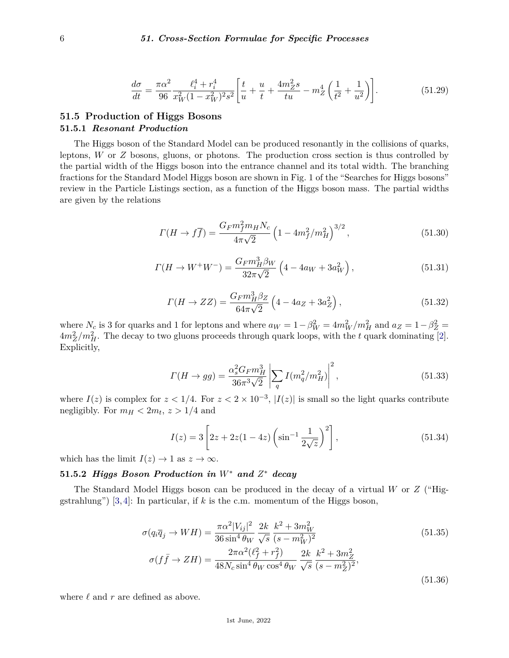$$
\frac{d\sigma}{dt} = \frac{\pi\alpha^2}{96} \frac{\ell_i^4 + r_i^4}{x_W^2(1 - x_W^2)^2 s^2} \left[ \frac{t}{u} + \frac{u}{t} + \frac{4m_Z^2 s}{tu} - m_Z^4 \left( \frac{1}{t^2} + \frac{1}{u^2} \right) \right].
$$
 (51.29)

# **51.5 Production of Higgs Bosons 51.5.1** *Resonant Production*

The Higgs boson of the Standard Model can be produced resonantly in the collisions of quarks, leptons, *W* or *Z* bosons, gluons, or photons. The production cross section is thus controlled by the partial width of the Higgs boson into the entrance channel and its total width. The branching fractions for the Standard Model Higgs boson are shown in Fig. 1 of the "Searches for Higgs bosons" review in the Particle Listings section, as a function of the Higgs boson mass. The partial widths are given by the relations

$$
\Gamma(H \to f\overline{f}) = \frac{G_F m_f^2 m_H N_c}{4\pi\sqrt{2}} \left(1 - 4m_f^2/m_H^2\right)^{3/2},\tag{51.30}
$$

$$
\Gamma(H \to W^+W^-) = \frac{G_F m_H^3 \beta_W}{32\pi\sqrt{2}} \left(4 - 4a_W + 3a_W^2\right),\tag{51.31}
$$

$$
\Gamma(H \to ZZ) = \frac{G_F m_H^3 \beta_Z}{64\pi\sqrt{2}} \left( 4 - 4a_Z + 3a_Z^2 \right),\tag{51.32}
$$

where  $N_c$  is 3 for quarks and 1 for leptons and where  $a_W = 1 - \beta_W^2 = 4m_W^2/m_H^2$  and  $a_Z = 1 - \beta_Z^2 = 1$  $4m_Z^2/m_H^2$ . The decay to two gluons proceeds through quark loops, with the *t* quark dominating [\[2\]](#page-19-1). Explicitly,

$$
\Gamma(H \to gg) = \frac{\alpha_s^2 G_F m_H^3}{36\pi^3 \sqrt{2}} \left| \sum_q I(m_q^2/m_H^2) \right|^2, \tag{51.33}
$$

where  $I(z)$  is complex for  $z < 1/4$ . For  $z < 2 \times 10^{-3}$ ,  $|I(z)|$  is small so the light quarks contribute negligibly. For  $m_H < 2m_t$ ,  $z > 1/4$  and

$$
I(z) = 3\left[2z + 2z(1 - 4z)\left(\sin^{-1}\frac{1}{2\sqrt{z}}\right)^2\right],
$$
\n(51.34)

which has the limit  $I(z) \to 1$  as  $z \to \infty$ .

# **51.5.2** *Higgs Boson Production in W*<sup>∗</sup> *and Z* <sup>∗</sup> *decay*

The Standard Model Higgs boson can be produced in the decay of a virtual *W* or *Z* ("Higgstrahlung") [\[3,](#page-19-2) [4\]](#page-19-3): In particular, if *k* is the c.m. momentum of the Higgs boson,

$$
\sigma(q_i \overline{q}_j \to WH) = \frac{\pi \alpha^2 |V_{ij}|^2}{36 \sin^4 \theta_W} \frac{2k}{\sqrt{s}} \frac{k^2 + 3m_W^2}{(s - m_W^2)^2}
$$
(51.35)  

$$
\sigma(f\overline{f} \to ZH) = \frac{2\pi \alpha^2 (\ell_f^2 + r_f^2)}{48N_c \sin^4 \theta_W \cos^4 \theta_W} \frac{2k}{\sqrt{s}} \frac{k^2 + 3m_Z^2}{(s - m_Z^2)^2},
$$
(51.36)

where  $\ell$  and  $r$  are defined as above.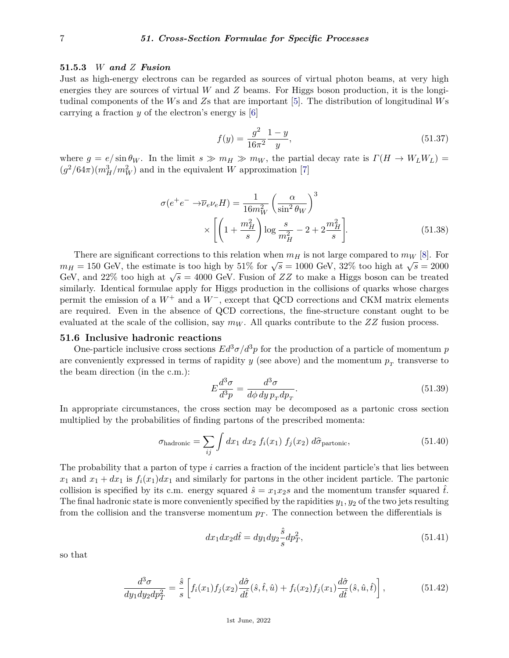#### **51.5.3** *W and Z Fusion*

Just as high-energy electrons can be regarded as sources of virtual photon beams, at very high energies they are sources of virtual *W* and *Z* beams. For Higgs boson production, it is the longitudinal components of the *W*s and *Z*s that are important [\[5\]](#page-19-4). The distribution of longitudinal *W*s carrying a fraction *y* of the electron's energy is [\[6\]](#page-19-5)

$$
f(y) = \frac{g^2}{16\pi^2} \frac{1-y}{y},\tag{51.37}
$$

where  $g = e/\sin\theta_W$ . In the limit  $s \gg m_H \gg m_W$ , the partial decay rate is  $\Gamma(H \to W_L W_L)$  =  $(g^2/64\pi)(m_H^3/m_W^2)$  and in the equivalent *W* approximation [\[7\]](#page-19-6)

$$
\sigma(e^+e^- \to \overline{\nu}_e \nu_e H) = \frac{1}{16m_W^2} \left(\frac{\alpha}{\sin^2 \theta_W}\right)^3
$$

$$
\times \left[ \left(1 + \frac{m_H^2}{s}\right) \log \frac{s}{m_H^2} - 2 + 2\frac{m_H^2}{s} \right].
$$
(51.38)

There are significant corrections to this relation when  $m_H$  is not large compared to  $m_W$  [\[8\]](#page-19-7). For *m<sub>H</sub>* = 150 GeV, the estimate is too high by 51% for  $\sqrt{s}$  = 1000 GeV, 32% too high at  $\sqrt{s}$  = 2000  $G_{\rm F}$  = 150 GeV, the estimate is too high by 5170 for  $\sqrt{s}$  = 1600 GeV, 5270 too high at  $\sqrt{s}$  = 2600 GeV. Fusion of *ZZ* to make a Higgs boson can be treated similarly. Identical formulae apply for Higgs production in the collisions of quarks whose charges permit the emission of a  $W^+$  and a  $W^-$ , except that QCD corrections and CKM matrix elements are required. Even in the absence of QCD corrections, the fine-structure constant ought to be evaluated at the scale of the collision, say *m<sup>W</sup>* . All quarks contribute to the *ZZ* fusion process.

### **51.6 Inclusive hadronic reactions**

One-particle inclusive cross sections  $Ed^3\sigma/d^3p$  for the production of a particle of momentum *p* are conveniently expressed in terms of rapidity  $y$  (see above) and the momentum  $p_T$  transverse to the beam direction (in the c.m.):

$$
E\frac{d^3\sigma}{d^3p} = \frac{d^3\sigma}{d\phi\,dy\,p_T dp_T}.\tag{51.39}
$$

In appropriate circumstances, the cross section may be decomposed as a partonic cross section multiplied by the probabilities of finding partons of the prescribed momenta:

$$
\sigma_{\text{hadronic}} = \sum_{ij} \int dx_1 \, dx_2 \, f_i(x_1) \, f_j(x_2) \, d\hat{\sigma}_{\text{partonic}}, \tag{51.40}
$$

The probability that a parton of type *i* carries a fraction of the incident particle's that lies between  $x_1$  and  $x_1 + dx_1$  is  $f_i(x_1)dx_1$  and similarly for partons in the other incident particle. The partonic collision is specified by its c.m. energy squared  $\hat{s} = x_1x_2s$  and the momentum transfer squared  $\hat{t}$ . The final hadronic state is more conveniently specified by the rapidities  $y_1, y_2$  of the two jets resulting from the collision and the transverse momentum  $p<sub>T</sub>$ . The connection between the differentials is

$$
dx_1 dx_2 d\hat{t} = dy_1 dy_2 \frac{\hat{s}}{s} dp_T^2,
$$
\n(51.41)

so that

$$
\frac{d^3\sigma}{dy_1 dy_2 dp_T^2} = \frac{\hat{s}}{s} \left[ f_i(x_1) f_j(x_2) \frac{d\hat{\sigma}}{d\hat{t}} (\hat{s}, \hat{t}, \hat{u}) + f_i(x_2) f_j(x_1) \frac{d\hat{\sigma}}{d\hat{t}} (\hat{s}, \hat{u}, \hat{t}) \right],
$$
(51.42)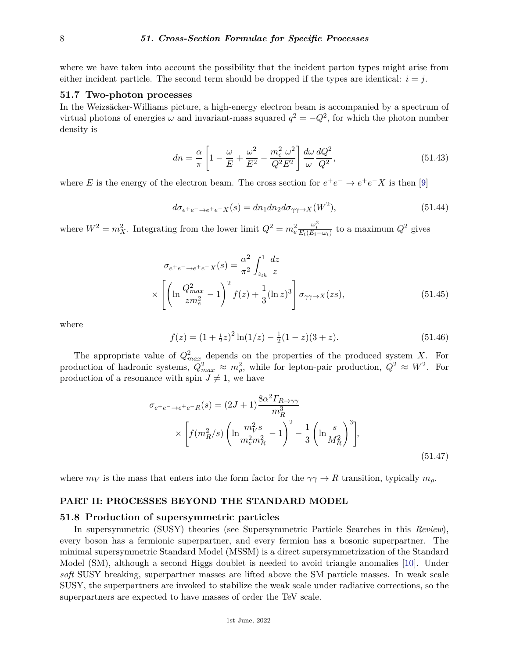where we have taken into account the possibility that the incident parton types might arise from either incident particle. The second term should be dropped if the types are identical:  $i = j$ .

## **51.7 Two-photon processes**

In the Weizsäcker-Williams picture, a high-energy electron beam is accompanied by a spectrum of virtual photons of energies  $\omega$  and invariant-mass squared  $q^2 = -Q^2$ , for which the photon number density is

$$
dn = \frac{\alpha}{\pi} \left[ 1 - \frac{\omega}{E} + \frac{\omega^2}{E^2} - \frac{m_e^2}{Q^2 E^2} \right] \frac{d\omega}{\omega} \frac{dQ^2}{Q^2},\tag{51.43}
$$

where *E* is the energy of the electron beam. The cross section for  $e^+e^- \to e^+e^-X$  is then [\[9\]](#page-19-8)

$$
d\sigma_{e^+e^- \to e^+e^- X}(s) = dn_1 dn_2 d\sigma_{\gamma\gamma \to X}(W^2),\tag{51.44}
$$

where  $W^2 = m_X^2$ . Integrating from the lower limit  $Q^2 = m_e^2$  $\frac{\omega_i^2}{E_i(E_i - \omega_i)}$  to a maximum  $Q^2$  gives

$$
\sigma_{e^+e^- \to e^+e^- X}(s) = \frac{\alpha^2}{\pi^2} \int_{z_{th}}^1 \frac{dz}{z}
$$
  
 
$$
\times \left[ \left( \ln \frac{Q_{max}^2}{zm_e^2} - 1 \right)^2 f(z) + \frac{1}{3} (\ln z)^3 \right] \sigma_{\gamma\gamma \to X}(zs), \tag{51.45}
$$

where

$$
f(z) = (1 + \frac{1}{2}z)^2 \ln(1/z) - \frac{1}{2}(1 - z)(3 + z).
$$
 (51.46)

The appropriate value of  $Q_{max}^2$  depends on the properties of the produced system *X*. For production of hadronic systems,  $Q_{max}^2 \approx m_{\rho}^2$ , while for lepton-pair production,  $Q^2 \approx W^2$ . For production of a resonance with spin  $J \neq 1$ , we have

$$
\sigma_{e^+e^- \to e^+e^-R}(s) = (2J+1)\frac{8\alpha^2\Gamma_{R\to\gamma\gamma}}{m_R^3}
$$

$$
\times \left[f(m_R^2/s)\left(\ln\frac{m_V^2s}{m_e^2m_R^2} - 1\right)^2 - \frac{1}{3}\left(\ln\frac{s}{M_R^2}\right)^3\right],\tag{51.47}
$$

where  $m_V$  is the mass that enters into the form factor for the  $\gamma \gamma \to R$  transition, typically  $m_\rho$ .

### **PART II: PROCESSES BEYOND THE STANDARD MODEL**

#### **51.8 Production of supersymmetric particles**

In supersymmetric (SUSY) theories (see Supersymmetric Particle Searches in this *Review*), every boson has a fermionic superpartner, and every fermion has a bosonic superpartner. The minimal supersymmetric Standard Model (MSSM) is a direct supersymmetrization of the Standard Model (SM), although a second Higgs doublet is needed to avoid triangle anomalies [\[10\]](#page-19-9). Under *soft* SUSY breaking, superpartner masses are lifted above the SM particle masses. In weak scale SUSY, the superpartners are invoked to stabilize the weak scale under radiative corrections, so the superpartners are expected to have masses of order the TeV scale.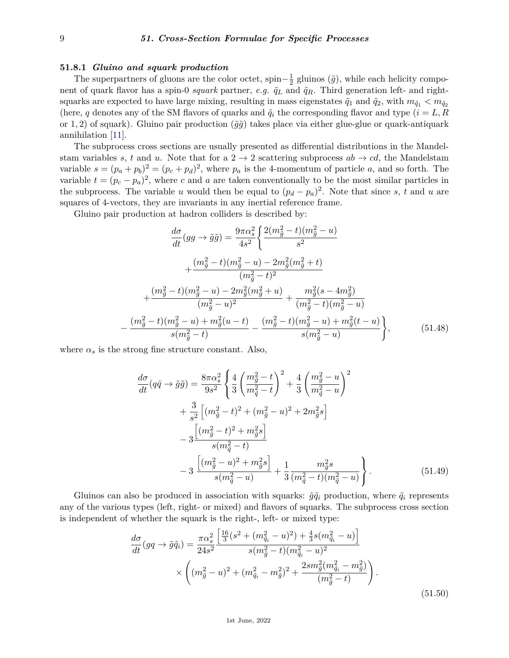### **51.8.1** *Gluino and squark production*

The superpartners of gluons are the color octet, spin $-\frac{1}{2}$  $\frac{1}{2}$  gluinos  $(\tilde{g})$ , while each helicity component of quark flavor has a spin-0 *squark* partner, *e.g.*  $\tilde{q}_L$  and  $\tilde{q}_R$ . Third generation left- and rightsquarks are expected to have large mixing, resulting in mass eigenstates  $\tilde{q}_1$  and  $\tilde{q}_2$ , with  $m_{\tilde{q}_1} < m_{\tilde{q}_2}$ (here, *q* denotes any of the SM flavors of quarks and  $\tilde{q}_i$  the corresponding flavor and type ( $i = L, R$ or 1, 2) of squark). Gluino pair production  $(\tilde{g}\tilde{g})$  takes place via either glue-glue or quark-antiquark annihilation [\[11\]](#page-19-10).

The subprocess cross sections are usually presented as differential distributions in the Mandelstam variables *s*, *t* and *u*. Note that for a  $2 \rightarrow 2$  scattering subprocess  $ab \rightarrow cd$ , the Mandelstam variable  $s = (p_a + p_b)^2 = (p_c + p_d)^2$ , where  $p_a$  is the 4-momentum of particle *a*, and so forth. The variable  $t = (p_c - p_a)^2$ , where *c* and *a* are taken conventionally to be the most similar particles in the subprocess. The variable *u* would then be equal to  $(p_d - p_a)^2$ . Note that since *s*, *t* and *u* are squares of 4-vectors, they are invariants in any inertial reference frame.

Gluino pair production at hadron colliders is described by:

$$
\frac{d\sigma}{dt}(gg \to \tilde{g}\tilde{g}) = \frac{9\pi\alpha_s^2}{4s^2} \left\{ \frac{2(m_{\tilde{g}}^2 - t)(m_{\tilde{g}}^2 - u)}{s^2} + \frac{(m_{\tilde{g}}^2 - t)(m_{\tilde{g}}^2 - u) - 2m_{\tilde{g}}^2(m_{\tilde{g}}^2 + t)}{(m_{\tilde{g}}^2 - t)^2} + \frac{(m_{\tilde{g}}^2 - t)(m_{\tilde{g}}^2 - u) - 2m_{\tilde{g}}^2(m_{\tilde{g}}^2 + u)}{(m_{\tilde{g}}^2 - u)^2} + \frac{m_{\tilde{g}}^2(s - 4m_{\tilde{g}}^2)}{(m_{\tilde{g}}^2 - t)(m_{\tilde{g}}^2 - u)} - \frac{(m_{\tilde{g}}^2 - t)(m_{\tilde{g}}^2 - u) + m_{\tilde{g}}^2(u - t)}{s(m_{\tilde{g}}^2 - t)} - \frac{(m_{\tilde{g}}^2 - t)(m_{\tilde{g}}^2 - u) + m_{\tilde{g}}^2(t - u)}{s(m_{\tilde{g}}^2 - u)} \right\},
$$
(51.48)

where  $\alpha_s$  is the strong fine structure constant. Also,

$$
\frac{d\sigma}{dt} (q\bar{q} \to \tilde{g}\tilde{g}) = \frac{8\pi \alpha_s^2}{9s^2} \left\{ \frac{4}{3} \left( \frac{m_{\tilde{g}}^2 - t}{m_{\tilde{q}}^2 - t} \right)^2 + \frac{4}{3} \left( \frac{m_{\tilde{g}}^2 - u}{m_{\tilde{q}}^2 - u} \right)^2 \right.\left. + \frac{3}{s^2} \left[ (m_{\tilde{g}}^2 - t)^2 + (m_{\tilde{g}}^2 - u)^2 + 2m_{\tilde{g}}^2 s \right] \left. - 3 \frac{\left[ (m_{\tilde{g}}^2 - t)^2 + m_{\tilde{g}}^2 s \right]}{s(m_{\tilde{q}}^2 - t)} \right.\left. - 3 \frac{\left[ (m_{\tilde{g}}^2 - u)^2 + m_{\tilde{g}}^2 s \right]}{s(m_{\tilde{q}}^2 - u)} + \frac{1}{3} \frac{m_{\tilde{g}}^2 s}{(m_{\tilde{q}}^2 - t)(m_{\tilde{q}}^2 - u)} \right\}.
$$
\n(51.49)

Gluinos can also be produced in association with squarks:  $\tilde{g}\tilde{q}_i$  production, where  $\tilde{q}_i$  represents any of the various types (left, right- or mixed) and flavors of squarks. The subprocess cross section is independent of whether the squark is the right-, left- or mixed type:

$$
\frac{d\sigma}{dt}(gq \to \tilde{g}\tilde{q}_i) = \frac{\pi \alpha_s^2}{24s^2} \frac{\left[\frac{16}{3}(s^2 + (m_{\tilde{q}_i}^2 - u)^2) + \frac{4}{3}s(m_{\tilde{q}_i}^2 - u)\right]}{s(m_{\tilde{g}}^2 - t)(m_{\tilde{q}_i}^2 - u)^2} \times \left( (m_{\tilde{g}}^2 - u)^2 + (m_{\tilde{q}_i}^2 - m_{\tilde{g}}^2)^2 + \frac{2sm_{\tilde{g}}^2(m_{\tilde{q}_i}^2 - m_{\tilde{g}}^2)}{(m_{\tilde{g}}^2 - t)} \right). \tag{51.50}
$$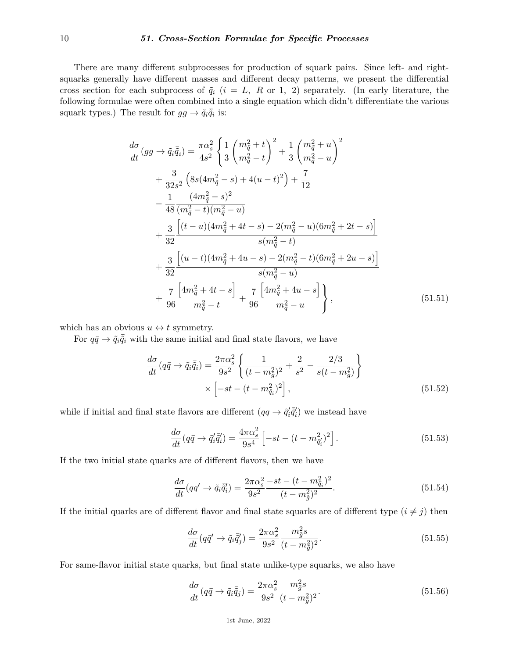## 10 *51. Cross-Section Formulae for Specific Processes*

There are many different subprocesses for production of squark pairs. Since left- and rightsquarks generally have different masses and different decay patterns, we present the differential cross section for each subprocess of  $\tilde{q}_i$  ( $i = L, R$  or 1, 2) separately. (In early literature, the following formulae were often combined into a single equation which didn't differentiate the various squark types.) The result for  $gg \to \tilde{q}_i \overline{\tilde{q}}_i$  is:

$$
\frac{d\sigma}{dt}(gg \to \tilde{q}_i\bar{\tilde{q}}_i) = \frac{\pi\alpha_s^2}{4s^2} \left\{ \frac{1}{3} \left( \frac{m_{\tilde{q}}^2 + t}{m_{\tilde{q}}^2 - t} \right)^2 + \frac{1}{3} \left( \frac{m_{\tilde{q}}^2 + u}{m_{\tilde{q}}^2 - u} \right)^2 \right.\n+ \frac{3}{32s^2} \left( 8s(4m_{\tilde{q}}^2 - s) + 4(u - t)^2 \right) + \frac{7}{12}\n- \frac{1}{48} \frac{(4m_{\tilde{q}}^2 - s)^2}{(m_{\tilde{q}}^2 - t)(m_{\tilde{q}}^2 - u)}\n+ \frac{3}{32} \frac{\left[ (t - u)(4m_{\tilde{q}}^2 + 4t - s) - 2(m_{\tilde{q}}^2 - u)(6m_{\tilde{q}}^2 + 2t - s) \right]}{s(m_{\tilde{q}}^2 - t)}\n+ \frac{3}{32} \frac{\left[ (u - t)(4m_{\tilde{q}}^2 + 4u - s) - 2(m_{\tilde{q}}^2 - t)(6m_{\tilde{q}}^2 + 2u - s) \right]}{s(m_{\tilde{q}}^2 - u)}\n+ \frac{7}{96} \frac{\left[ 4m_{\tilde{q}}^2 + 4t - s \right]}{m_{\tilde{q}}^2 - t} + \frac{7}{96} \frac{\left[ 4m_{\tilde{q}}^2 + 4u - s \right]}{m_{\tilde{q}}^2 - u} \right\}, \tag{51.51}
$$

which has an obvious  $u \leftrightarrow t$  symmetry.

For  $q\bar{q} \rightarrow \tilde{q}_i \bar{\tilde{q}}_i$  with the same initial and final state flavors, we have

$$
\frac{d\sigma}{dt}(q\bar{q} \to \tilde{q}_i\bar{\tilde{q}}_i) = \frac{2\pi\alpha_s^2}{9s^2} \left\{ \frac{1}{(t - m_{\tilde{g}}^2)^2} + \frac{2}{s^2} - \frac{2/3}{s(t - m_{\tilde{g}}^2)} \right\} \times \left[ -st - (t - m_{\tilde{q}_i}^2)^2 \right],
$$
\n(51.52)

while if initial and final state flavors are different  $(q\bar{q} \rightarrow \tilde{q}'_i \bar{\tilde{q}}'_i)$  we instead have

$$
\frac{d\sigma}{dt}(q\bar{q} \to \tilde{q}'_i \tilde{q}'_i) = \frac{4\pi\alpha_s^2}{9s^4} \left[ -st - (t - m_{\tilde{q}'_i}^2)^2 \right].
$$
\n(51.53)

If the two initial state quarks are of different flavors, then we have

$$
\frac{d\sigma}{dt}(q\bar{q}' \to \tilde{q}_i \bar{\tilde{q}}'_i) = \frac{2\pi\alpha_s^2 - st - (t - m_{\tilde{q}_i}^2)^2}{9s^2}.
$$
\n(51.54)

If the initial quarks are of different flavor and final state squarks are of different type  $(i \neq j)$  then

$$
\frac{d\sigma}{dt}(q\bar{q}' \to \tilde{q}_i \bar{\tilde{q}}'_j) = \frac{2\pi\alpha_s^2}{9s^2} \frac{m_{\tilde{g}}^2 s}{(t - m_{\tilde{g}}^2)^2}.
$$
\n(51.55)

For same-flavor initial state quarks, but final state unlike-type squarks, we also have

$$
\frac{d\sigma}{dt}(q\bar{q}\rightarrow\tilde{q}_i\bar{\tilde{q}}_j) = \frac{2\pi\alpha_s^2}{9s^2}\frac{m_{\tilde{g}}^2s}{(t-m_{\tilde{g}}^2)^2}.
$$
\n(51.56)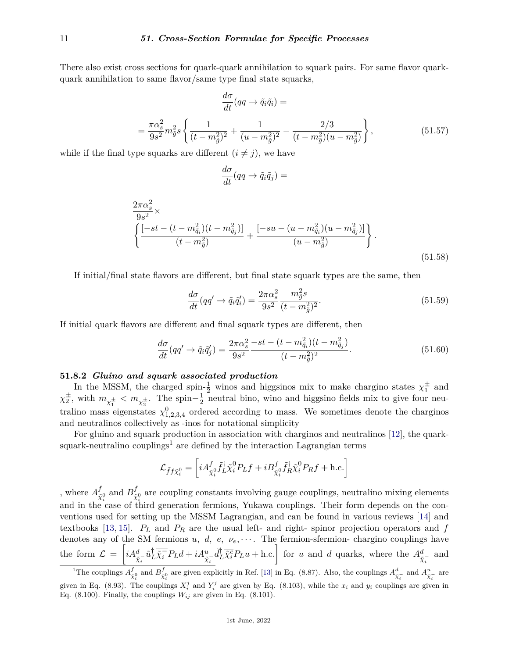There also exist cross sections for quark-quark annihilation to squark pairs. For same flavor quarkquark annihilation to same flavor/same type final state squarks,

$$
\frac{d\sigma}{dt}(qq \to \tilde{q}_i \tilde{q}_i) =
$$
\n
$$
= \frac{\pi \alpha_s^2}{9s^2} m_{\tilde{g}}^2 s \left\{ \frac{1}{(t - m_{\tilde{g}}^2)^2} + \frac{1}{(u - m_{\tilde{g}}^2)^2} - \frac{2/3}{(t - m_{\tilde{g}}^2)(u - m_{\tilde{g}}^2)} \right\},
$$
\n(51.57)

while if the final type squarks are different  $(i \neq j)$ , we have

$$
\frac{d\sigma}{dt}(qq \to \tilde{q}_i\tilde{q}_j) =
$$

$$
\frac{2\pi\alpha_s^2}{9s^2} \times \left\{ \frac{[-st - (t - m_{\tilde{q}_i}^2)(t - m_{\tilde{q}_j}^2)]}{(t - m_{\tilde{g}}^2)} + \frac{[-su - (u - m_{\tilde{q}_i}^2)(u - m_{\tilde{q}_j}^2)]}{(u - m_{\tilde{g}}^2)} \right\}.
$$
\n(51.58)

If initial/final state flavors are different, but final state squark types are the same, then

$$
\frac{d\sigma}{dt}(qq' \to \tilde{q}_i \tilde{q}'_i) = \frac{2\pi\alpha_s^2}{9s^2} \frac{m_{\tilde{g}}^2 s}{(t - m_{\tilde{g}}^2)^2}.
$$
\n(51.59)

If initial quark flavors are different and final squark types are different, then

$$
\frac{d\sigma}{dt}(qq' \to \tilde{q}_i \tilde{q}'_j) = \frac{2\pi\alpha_s^2 - st - (t - m_{\tilde{q}_i}^2)(t - m_{\tilde{q}_j}^2)}{9s^2}.
$$
\n(51.60)

### **51.8.2** *Gluino and squark associated production*

In the MSSM, the charged spin- $\frac{1}{2}$  winos and higgsinos mix to make chargino states  $\chi_1^{\pm}$  and  $\chi_2^{\pm}$ , with  $m_{\chi_1^{\pm}} < m_{\chi_2^{\pm}}$ . The spin– $\frac{1}{2}$  $\frac{1}{2}$  neutral bino, wino and higgsino fields mix to give four neutralino mass eigenstates  $\chi_{1,2,3,4}^0$  ordered according to mass. We sometimes denote the charginos and neutralinos collectively as -inos for notational simplicity

For gluino and squark production in association with charginos and neutralinos [\[12\]](#page-19-11), the quark-squark-neutralino couplings<sup>[1](#page-10-0)</sup> are defined by the interaction Lagrangian terms

$$
\mathcal{L}_{\tilde{f}f\tilde{\chi}_{i}^{0}} = \left[ i A^f_{\tilde{\chi}_{i}^{0}} \tilde{f}_{L}^{\dagger} \bar{\tilde{\chi}}_{i}^{0} P_{L} f + i B^f_{\tilde{\chi}_{i}^{0}} \tilde{f}_{R}^{\dagger} \bar{\tilde{\chi}}_{i}^{0} P_{R} f + \text{h.c.} \right]
$$

, where  $A^f_{\tilde{z}}$  $\frac{f}{\tilde{\chi}_i^0}$  and  $B_{\tilde{\chi}}^f$ and in the case of third generation fermions, Yukawa couplings. Their form depends on the con- $\tilde{\chi}^0_i$  are coupling constants involving gauge couplings, neutralino mixing elements ventions used for setting up the MSSM Lagrangian, and can be found in various reviews [\[14\]](#page-19-12) and textbooks [\[13,](#page-19-13) [15\]](#page-19-14).  $P_L$  and  $P_R$  are the usual left- and right- spinor projection operators and  $f$ denotes any of the SM fermions *u, d, e,*  $\nu_e$ *,*  $\dots$ . The fermion-sfermion- chargino couplings have the form  $\mathcal{L} = \left[ i A_{\tilde{\chi}_i^-}^d \tilde{u}_L^{\dagger} \overline{\tilde{\chi}_i}^c P_L d + i A_{\tilde{\chi}_i^-}^u \tilde{d}_L^{\dagger} \overline{\tilde{\chi}_i}^c P_L u + \text{h.c.} \right]$  for u and d quarks, where the  $A_{\tilde{\chi}_i^-}^d$  and

<span id="page-10-0"></span><sup>&</sup>lt;sup>1</sup>The couplings  $A_{\tilde{\chi}_{i}^{0}}^{f}$  and  $B_{\tilde{\chi}_{i}^{0}}^{f}$  are given explicitly in Ref. [\[13\]](#page-19-13) in Eq. (8.87). Also, the couplings  $A_{\tilde{\chi}_{i}^{-}}^{d}$  and  $A_{\tilde{\chi}_{i}^{-}}^{u}$  are given in Eq. (8.93). The couplings  $X_i^j$  and  $Y_i^j$  are given by Eq. (8.103), while the  $x_i$  and  $y_i$  couplings are given in Eq. (8.100). Finally, the couplings  $W_{ij}$  are given in Eq. (8.101).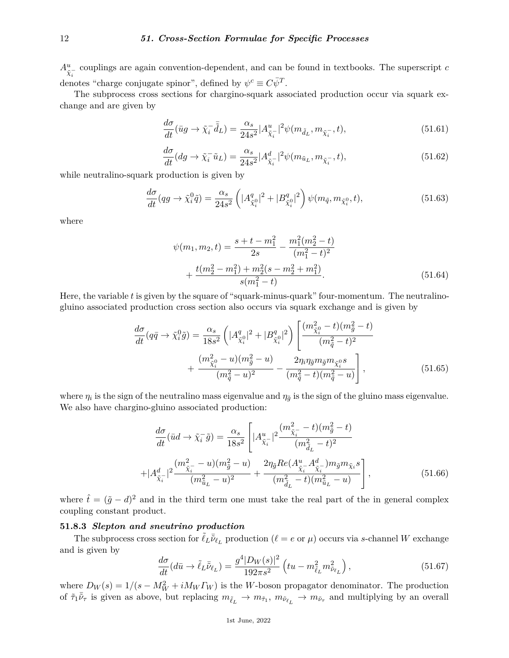$A^u_{\tilde{\chi}^-_i}$  couplings are again convention-dependent, and can be found in textbooks. The superscript *c* denotes "charge conjugate spinor", defined by  $\psi^c \equiv C \bar{\psi}^T$ .

The subprocess cross sections for chargino-squark associated production occur via squark exchange and are given by

$$
\frac{d\sigma}{dt}(\bar{u}g \to \tilde{\chi}_i \bar{\tilde{d}}_L) = \frac{\alpha_s}{24s^2} |A^u_{\tilde{\chi}_i}|^2 \psi(m_{\tilde{d}_L}, m_{\tilde{\chi}_i^{-}}, t), \tag{51.61}
$$

$$
\frac{d\sigma}{dt}(dg \to \tilde{\chi}_i^- \tilde{u}_L) = \frac{\alpha_s}{24s^2} |A_{\tilde{\chi}_i^-}^d|^2 \psi(m_{\tilde{u}_L}, m_{\tilde{\chi}_i^-}, t), \tag{51.62}
$$

while neutralino-squark production is given by

$$
\frac{d\sigma}{dt}(qg \to \tilde{\chi}_i^0 \tilde{q}) = \frac{\alpha_s}{24s^2} \left( |A_{\tilde{\chi}_i^0}^q|^2 + |B_{\tilde{\chi}_i^0}^q|^2 \right) \psi(m_{\tilde{q}}, m_{\tilde{\chi}_i^0}, t),\tag{51.63}
$$

where

$$
\psi(m_1, m_2, t) = \frac{s + t - m_1^2}{2s} - \frac{m_1^2(m_2^2 - t)}{(m_1^2 - t)^2} + \frac{t(m_2^2 - m_1^2) + m_2^2(s - m_2^2 + m_1^2)}{s(m_1^2 - t)}.
$$
\n(51.64)

Here, the variable *t* is given by the square of "squark-minus-quark" four-momentum. The neutralinogluino associated production cross section also occurs via squark exchange and is given by

$$
\frac{d\sigma}{dt}(q\bar{q} \to \tilde{\chi}_i^0 \tilde{g}) = \frac{\alpha_s}{18s^2} \left( |A_{\tilde{\chi}_i^0}^q|^2 + |B_{\tilde{\chi}_i^0}^q|^2 \right) \left[ \frac{(m_{\tilde{\chi}_i^0}^2 - t)(m_{\tilde{g}}^2 - t)}{(m_{\tilde{q}}^2 - t)^2} + \frac{(m_{\tilde{\chi}_i^0}^2 - u)(m_{\tilde{g}}^2 - u)}{(m_{\tilde{q}}^2 - u)^2} - \frac{2\eta_i \eta_{\tilde{g}} m_{\tilde{g}} m_{\tilde{\chi}_i^0} s}{(m_{\tilde{q}}^2 - t)(m_{\tilde{q}}^2 - u)} \right],
$$
\n(51.65)

where  $\eta_i$  is the sign of the neutralino mass eigenvalue and  $\eta_{\tilde{g}}$  is the sign of the gluino mass eigenvalue. We also have chargino-gluino associated production:

$$
\frac{d\sigma}{dt}(\bar{u}d \to \tilde{\chi}_i^-\tilde{g}) = \frac{\alpha_s}{18s^2} \left[ |A_{\tilde{\chi}_i^-}^u|^2 \frac{(m_{\tilde{\chi}_i^-}^2 - t)(m_{\tilde{g}}^2 - t)}{(m_{\tilde{d}_L}^2 - t)^2} + |A_{\tilde{\chi}_i^-}^d|^2 \frac{(m_{\tilde{\chi}_i^-}^2 - u)(m_{\tilde{g}}^2 - u)}{(m_{\tilde{u}_L}^2 - u)^2} + \frac{2\eta_{\tilde{g}} Re(A_{\tilde{\chi}_i^-}^u A_{\tilde{\chi}_i^-}^d) m_{\tilde{g}} m_{\tilde{\chi}_i} s}{(m_{\tilde{u}_L}^2 - t)(m_{\tilde{u}_L}^2 - u)} \right],
$$
\n(51.66)

where  $\hat{t} = (\tilde{g} - d)^2$  and in the third term one must take the real part of the in general complex coupling constant product.

## **51.8.3** *Slepton and sneutrino production*

The subprocess cross section for  $\tilde{\ell}_L \bar{\tilde{\nu}}_{\ell_L}$  production ( $\ell = e$  or  $\mu$ ) occurs via *s*-channel *W* exchange and is given by

$$
\frac{d\sigma}{dt}(d\bar{u}\to \tilde{\ell}_L \bar{\tilde{\nu}}_{\ell_L}) = \frac{g^4 |D_W(s)|^2}{192\pi s^2} \left( tu - m_{\tilde{\ell}_L}^2 m_{\tilde{\nu}_{\ell_L}}^2 \right),\tag{51.67}
$$

where  $D_W(s) = 1/(s - M_W^2 + iM_W \Gamma_W)$  is the *W*-boson propagator denominator. The production of  $\tilde{\tau}_1 \tilde{\nu}_\tau$  is given as above, but replacing  $m_{\tilde{\ell}_L} \to m_{\tilde{\tau}_1}$ ,  $m_{\tilde{\nu}_{\ell_L}} \to m_{\tilde{\nu}_\tau}$  and multiplying by an overall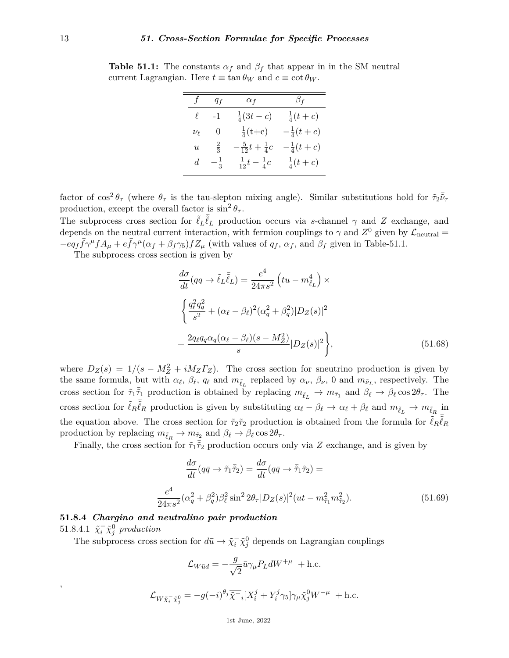| $f_{-}$        | $q_f$          | $\alpha_f$                    | $\beta_f$           |
|----------------|----------------|-------------------------------|---------------------|
| $\ell$         | $-1$           | $rac{1}{4}(3t-c)$             | $\frac{1}{4}(t+c)$  |
| $\nu_{\ell}$   | 0              | $\frac{1}{4}(t+c)$            | $-\frac{1}{4}(t+c)$ |
| $\overline{u}$ | $rac{2}{3}$    | $-\frac{5}{12}t+\frac{1}{4}c$ | $-\frac{1}{4}(t+c)$ |
| d              | $-\frac{1}{3}$ | $\frac{1}{12}t-\frac{1}{4}c$  | $\frac{1}{4}(t+c)$  |

**Table 51.1:** The constants  $\alpha_f$  and  $\beta_f$  that appear in in the SM neutral current Lagrangian. Here  $t \equiv \tan \theta_W$  and  $c \equiv \cot \theta_W$ .

factor of  $\cos^2\theta_\tau$  (where  $\theta_\tau$  is the tau-slepton mixing angle). Similar substitutions hold for  $\tilde{\tau}_2\bar{\tilde{\nu}}_\tau$ production, except the overall factor is  $\sin^2 \theta_\tau$ .

The subprocess cross section for  $\tilde{\ell}_L \overline{\tilde{\ell}}_L$  production occurs via *s*-channel  $\gamma$  and *Z* exchange, and depends on the neutral current interaction, with fermion couplings to  $\gamma$  and  $Z^0$  given by  $\mathcal{L}_{\text{neutral}} =$  $-eq_f\bar{f}\gamma^{\mu}fA_{\mu}+e\bar{f}\gamma^{\mu}(\alpha_f+\beta_f\gamma_5)fZ_{\mu}$  (with values of  $q_f$ ,  $\alpha_f$ , and  $\beta_f$  given in Table-51.1.

The subprocess cross section is given by

$$
\frac{d\sigma}{dt}(q\bar{q}\rightarrow \tilde{\ell}_L\bar{\tilde{\ell}}_L) = \frac{e^4}{24\pi s^2} \left(tu - m_{\tilde{\ell}_L}^4\right) \times
$$
\n
$$
\left\{ \frac{q_\ell^2 q_q^2}{s^2} + (\alpha_\ell - \beta_\ell)^2 (\alpha_q^2 + \beta_q^2) |D_Z(s)|^2 \right\}
$$
\n
$$
+ \frac{2q_\ell q_q \alpha_q (\alpha_\ell - \beta_\ell)(s - M_Z^2)}{s} |D_Z(s)|^2 \right\},
$$
\n(51.68)

where  $D_Z(s) = 1/(s - M_Z^2 + iM_Z\Gamma_Z)$ . The cross section for sneutrino production is given by the same formula, but with  $\alpha_{\ell}$ ,  $\beta_{\ell}$ ,  $q_{\ell}$  and  $m_{\tilde{\ell}_L}$  replaced by  $\alpha_{\nu}$ ,  $\beta_{\nu}$ , 0 and  $m_{\tilde{\nu}_L}$ , respectively. The cross section for  $\tilde{\tau}_1 \tilde{\bar{\tau}}_1$  production is obtained by replacing  $m_{\tilde{\ell}_L} \to m_{\tilde{\tau}_1}$  and  $\beta_{\ell} \to \beta_{\ell} \cos 2\theta_{\tau}$ . The cross section for  $\tilde{\ell}_R \overline{\tilde{\ell}}_R$  production is given by substituting  $\alpha_{\ell} - \beta_{\ell} \to \alpha_{\ell} + \beta_{\ell}$  and  $m_{\tilde{\ell}_L} \to m_{\tilde{\ell}_R}$  in the equation above. The cross section for  $\tilde{\tau}_2 \tilde{\tilde{\tau}}_2$  production is obtained from the formula for  $\tilde{\ell}_R \tilde{\tilde{\ell}}_R$ production by replacing  $m_{\tilde{\ell}_R} \to m_{\tilde{\tau}_2}$  and  $\beta_{\ell} \to \beta_{\ell} \cos 2\theta_{\tau}$ .

Finally, the cross section for  $\tilde{\tau}_1 \tilde{\tau}_2$  production occurs only via *Z* exchange, and is given by

$$
\frac{d\sigma}{dt}(q\bar{q}\to\tilde{\tau}_1\tilde{\bar{\tau}}_2) = \frac{d\sigma}{dt}(q\bar{q}\to\tilde{\bar{\tau}}_1\tilde{\tau}_2) =
$$
\n
$$
\frac{e^4}{24\pi s^2}(\alpha_q^2 + \beta_q^2)\beta_\ell^2 \sin^2 2\theta_\tau |D_Z(s)|^2 (ut - m_{\tilde{\tau}_1}^2 m_{\tilde{\tau}_2}^2). \tag{51.69}
$$

# **51.8.4** *Chargino and neutralino pair production* 51.8.4.1  $\tilde{\chi}_i^-\tilde{\chi}_j^0$  production

The subprocess cross section for  $d\bar{u} \to \tilde{\chi}_i^-\tilde{\chi}_j^0$  depends on Lagrangian couplings

$$
\mathcal{L}_{W\bar{u}d}=-\frac{g}{\sqrt{2}}\bar{u}\gamma_{\mu}P_{L}dW^{+\mu}\ +\mathrm{h.c.}
$$

$$
\mathcal{L}_{W\tilde{\chi}_i^-\tilde{\chi}_j^0} = -g(-i)^{\theta_j}\overline{\tilde{\chi}}_{i}^-\left[X_i^j + Y_i^j\gamma_5\right]\gamma_\mu\tilde{\chi}_j^0W^{-\mu} + \text{h.c.}
$$

,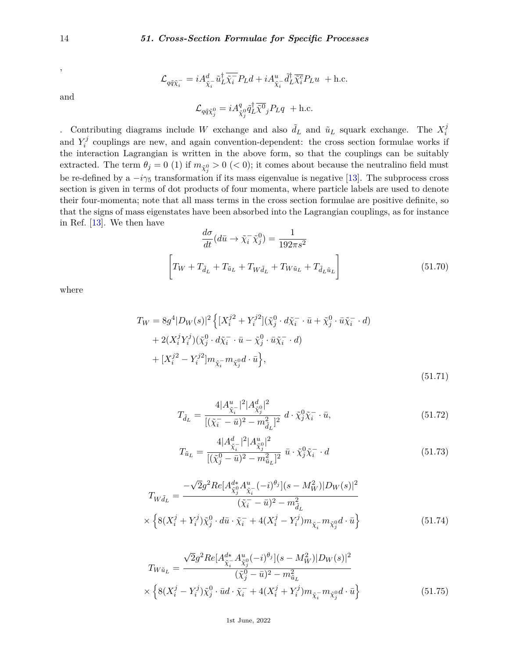and

$$
\mathcal{L}_{q\tilde{q}\tilde{\chi}^-_i} = iA^d_{\tilde{\chi}^-_i}\tilde{u}^\dagger_L \overline{\tilde{\chi}^-_i} P_L d + iA^u_{\tilde{\chi}^-_i}\tilde{d}^\dagger_L \overline{\tilde{\chi}^c_i} P_L u + \text{h.c.}
$$

$$
\mathcal{L}_{q\tilde{q}\tilde{\chi}^0_j}=iA_{\tilde{\chi}^0_j}^q\tilde{q}^\dagger_L\overline{\tilde{\chi}^0}_j P_L q\ +{\rm h.c.}
$$

. Contributing diagrams include *W* exchange and also  $\tilde{d}_L$  and  $\tilde{u}_L$  squark exchange. The  $X_i^j$ *i* and  $Y_i^j$  $\tilde{i}$  couplings are new, and again convention-dependent: the cross section formulae works if the interaction Lagrangian is written in the above form, so that the couplings can be suitably extracted. The term  $\theta_j = 0$  (1) if  $m_{\tilde{\chi}^0_j} > 0$  ( $<$  0); it comes about because the neutralino field must be re-defined by a  $-i\gamma_5$  transformation if its mass eigenvalue is negative [\[13\]](#page-19-13). The subprocess cross section is given in terms of dot products of four momenta, where particle labels are used to denote their four-momenta; note that all mass terms in the cross section formulae are positive definite, so that the signs of mass eigenstates have been absorbed into the Lagrangian couplings, as for instance in Ref. [\[13\]](#page-19-13). We then have

$$
\frac{d\sigma}{dt}(d\bar{u}\rightarrow \tilde{\chi}_i^-\tilde{\chi}_j^0) = \frac{1}{192\pi s^2}
$$
\n
$$
\left[T_W + T_{\tilde{d}_L} + T_{\tilde{u}_L} + T_{W\tilde{d}_L} + T_{W\tilde{u}_L} + T_{\tilde{d}_L\tilde{u}_L}\right]
$$
\n(51.70)

where

$$
T_W = 8g^4|D_W(s)|^2 \left\{ [X_i^{j2} + Y_i^{j2}](\tilde{\chi}_j^0 \cdot d\tilde{\chi}_i^- \cdot \bar{u} + \tilde{\chi}_j^0 \cdot \bar{u}\tilde{\chi}_i^- \cdot d) + 2(X_i^j Y_i^j)(\tilde{\chi}_j^0 \cdot d\tilde{\chi}_i^- \cdot \bar{u} - \tilde{\chi}_j^0 \cdot \bar{u}\tilde{\chi}_i^- \cdot d) + [X_i^{j2} - Y_i^{j2}]m_{\tilde{\chi}_i^-}m_{\tilde{\chi}_j^0}d \cdot \bar{u} \right\},
$$
\n(51.71)

$$
T_{\tilde{d}_L} = \frac{4|A_{\tilde{\chi}_i^-}^u|^2|A_{\tilde{\chi}_j^0}^d|^2}{[(\tilde{\chi}_i^- - \bar{u})^2 - m_{\tilde{d}_L}^2]^2} \ d \cdot \tilde{\chi}_j^0 \tilde{\chi}_i^- \cdot \bar{u},\tag{51.72}
$$

$$
T_{\tilde{u}_L} = \frac{4|A_{\tilde{\chi}_i^-}^d|^2|A_{\tilde{\chi}_j^0}^u|^2}{[(\tilde{\chi}_j^0 - \bar{u})^2 - m_{\tilde{u}_L}^2]^2} \ \bar{u} \cdot \tilde{\chi}_j^0 \tilde{\chi}_i^- \cdot d \tag{51.73}
$$

$$
T_{W\tilde{d}_{L}} = \frac{-\sqrt{2}g^{2}Re[A^{d*}_{\tilde{\chi}_{j}^{0}}A^{u}_{\tilde{\chi}_{i}^{-}}(-i)^{\theta_{j}}](s - M_{W}^{2})|D_{W}(s)|^{2}}{(\tilde{\chi}_{i}^{-} - \bar{u})^{2} - m_{\tilde{d}_{L}}^{2}} \times \left\{8(X_{i}^{j} + Y_{i}^{j})\tilde{\chi}_{j}^{0} \cdot d\bar{u} \cdot \tilde{\chi}_{i}^{-} + 4(X_{i}^{j} - Y_{i}^{j})m_{\tilde{\chi}_{i}^{-}}m_{\tilde{\chi}_{j}^{0}}d \cdot \bar{u}\right\}
$$
(51.74)

$$
T_{W\tilde{u}_{L}} = \frac{\sqrt{2}g^{2}Re[A_{\tilde{\chi}_{i}}^{d*}A_{\tilde{\chi}_{j}}^{u}(-i)^{\theta_{j}}](s - M_{W}^{2})|D_{W}(s)|^{2}}{(\tilde{\chi}_{j}^{0} - \bar{u})^{2} - m_{\tilde{u}_{L}}^{2}} \times \left\{8(X_{i}^{j} - Y_{i}^{j})\tilde{\chi}_{j}^{0} \cdot \bar{u}d \cdot \tilde{\chi}_{i}^{-} + 4(X_{i}^{j} + Y_{i}^{j})m_{\tilde{\chi}_{i}}^{-}m_{\tilde{\chi}_{j}^{0}}d \cdot \bar{u}\right\}
$$
(51.75)

,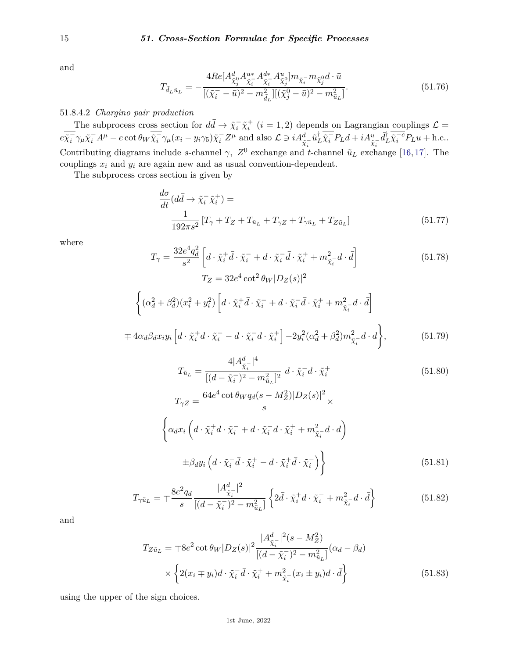and

$$
T_{\tilde{d}_L\tilde{u}_L} = -\frac{4Re[A^d_{\tilde{\chi}^0_j} A^{u*}_{\tilde{\chi}^-_i} A^{d*}_{\tilde{\chi}^-_i} A^{u}_{\tilde{\chi}^0_j}]m_{\tilde{\chi}^-_i} m_{\tilde{\chi}^0_j} d \cdot \bar{u}}{[(\tilde{\chi}^-_i - \bar{u})^2 - m_{\tilde{d}_L}^2] [(\tilde{\chi}^0_j - \bar{u})^2 - m_{\tilde{u}_L}^2]}.
$$
(51.76)

# 51.8.4.2 *Chargino pair production*

The subprocess cross section for  $d\bar{d} \to \tilde{\chi}_i^- \tilde{\chi}_i^+$   $(i = 1, 2)$  depends on Lagrangian couplings  $\mathcal{L} =$  $e\overline{\tilde{\chi}_i^-\gamma_\mu\tilde{\chi}_i^-}\,A^\mu - e\cot\theta_W\overline{\tilde{\chi}_i^-\gamma_\mu}(x_i-y_i\gamma_5)\tilde{\chi}_i^- Z^\mu$  and also  $\mathcal{L} \ni iA^d_{\tilde{\chi}_i^-}\tilde{u}_L^\dagger \overline{\tilde{\chi}_i^-} P_L d + iA^u_{\tilde{\chi}_i^-}\tilde{d}_L^\dagger \overline{\tilde{\chi}_i^{-c}} P_L u + \text{h.c.}$ Contributing diagrams include *s*-channel  $\gamma$ ,  $Z^0$  exchange and *t*-channel  $\tilde{u}_L$  exchange [\[16,](#page-19-15)[17\]](#page-19-16). The couplings  $x_i$  and  $y_i$  are again new and as usual convention-dependent.

The subprocess cross section is given by

 $\sqrt{ }$ 

$$
\frac{d\sigma}{dt}(d\bar{d}\rightarrow \tilde{\chi}_i^-\tilde{\chi}_i^+) =
$$
\n
$$
\frac{1}{192\pi s^2} \left[ T_\gamma + T_Z + T_{\tilde{u}_L} + T_{\gamma Z} + T_{\gamma \tilde{u}_L} + T_{Z\tilde{u}_L} \right]
$$
\n(51.77)

where

$$
T_{\gamma} = \frac{32e^4q_d^2}{s^2} \left[ d \cdot \tilde{\chi}_i^+ \bar{d} \cdot \tilde{\chi}_i^- + d \cdot \tilde{\chi}_i^- \bar{d} \cdot \tilde{\chi}_i^+ + m_{\tilde{\chi}_i^-}^2 d \cdot \bar{d} \right]
$$
(51.78)  

$$
T_Z = 32e^4 \cot^2 \theta_W |D_Z(s)|^2
$$

$$
\left\{ (\alpha_d^2 + \beta_d^2)(x_i^2 + y_i^2) \left[ d \cdot \tilde{\chi}_i^+ \bar{d} \cdot \tilde{\chi}_i^- + d \cdot \tilde{\chi}_i^- \bar{d} \cdot \tilde{\chi}_i^+ + m_{\tilde{\chi}_i^-}^2 d \cdot \bar{d} \right] \right\}
$$
  

$$
\mp 4\alpha_d \beta_d x_i y_i \left[ d \cdot \tilde{\chi}_i^+ \bar{d} \cdot \tilde{\chi}_i^- - d \cdot \tilde{\chi}_i^- \bar{d} \cdot \tilde{\chi}_i^+ \right] - 2y_i^2 (\alpha_d^2 + \beta_d^2) m_{\tilde{\chi}_i^-}^2 d \cdot \bar{d} \right\},
$$
 (51.79)

$$
T_{\tilde{u}_L} = \frac{4|A_{\tilde{\chi}_i^-}^d|^4}{[(d - \tilde{\chi}_i^-)^2 - m_{\tilde{u}_L}^2]^2} d \cdot \tilde{\chi}_i^- \bar{d} \cdot \tilde{\chi}_i^+
$$
(51.80)  

$$
T_{\gamma Z} = \frac{64e^4 \cot \theta_W q_d (s - M_Z^2)|D_Z(s)|^2}{s} \times \left\{ \alpha_d x_i \left( d \cdot \tilde{\chi}_i^+ \bar{d} \cdot \tilde{\chi}_i^- + d \cdot \tilde{\chi}_i^- \bar{d} \cdot \tilde{\chi}_i^+ + m_{\tilde{\chi}_i^-}^2 d \cdot \bar{d} \right) \right\}
$$

$$
\pm \beta_{d} y_{i} \left( d \cdot \tilde{\chi}_{i}^{-} \bar{d} \cdot \tilde{\chi}_{i}^{+} - d \cdot \tilde{\chi}_{i}^{+} \bar{d} \cdot \tilde{\chi}_{i}^{-} \right) \right\}
$$
\n(51.81)

$$
T_{\gamma \tilde{u}_L} = \mp \frac{8e^2 q_d}{s} \frac{|A_{\tilde{\chi}_i}^d|^2}{[(d - \tilde{\chi}_i^-)^2 - m_{\tilde{u}_L}^2]} \left\{ 2\bar{d} \cdot \tilde{\chi}_i^+ d \cdot \tilde{\chi}_i^- + m_{\tilde{\chi}_i^-}^2 d \cdot \bar{d} \right\}
$$
(51.82)

and

$$
T_{Z\tilde{u}_L} = \mp 8e^2 \cot \theta_W |D_Z(s)|^2 \frac{|A_{\tilde{\chi}_i}^d|^2 (s - M_Z^2)}{[(d - \tilde{\chi}_i^-)^2 - m_{\tilde{u}_L}^2]} (\alpha_d - \beta_d)
$$
  
 
$$
\times \left\{ 2(x_i \mp y_i) d \cdot \tilde{\chi}_i^- \bar{d} \cdot \tilde{\chi}_i^+ + m_{\tilde{\chi}_i^-}^2 (x_i \pm y_i) d \cdot \bar{d} \right\}
$$
(51.83)

using the upper of the sign choices.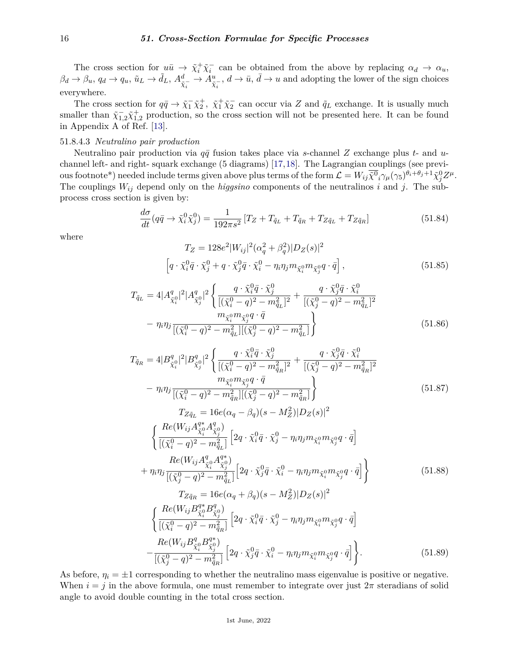The cross section for  $u\bar{u} \to \tilde{\chi}_i^+\tilde{\chi}_i^-$  can be obtained from the above by replacing  $\alpha_d \to \alpha_u$ ,  $\beta_d \to \beta_u$ ,  $q_d \to q_u$ ,  $\tilde{u}_L \to \tilde{d}_L$ ,  $A^d_{\tilde{\chi}^-_i} \to A^u_{\tilde{\chi}^-_i}$ ,  $d \to \bar{u}$ ,  $\bar{d} \to u$  and adopting the lower of the sign choices everywhere.

The cross section for  $q\bar{q} \to \tilde{\chi}_1^-\tilde{\chi}_2^+$ ,  $\tilde{\chi}_1^+\tilde{\chi}_2^-$  can occur via *Z* and  $\tilde{q}_L$  exchange. It is usually much smaller than  $\tilde{\chi}_{1,2}^{-} \tilde{\chi}_{1,2}^{+}$  production, so the cross section will not be presented here. It can be found in Appendix A of Ref. [\[13\]](#page-19-13).

## 51.8.4.3 *Neutralino pair production*

Neutralino pair production via  $q\bar{q}$  fusion takes place via *s*-channel *Z* exchange plus *t*- and *u*channel left- and right- squark exchange (5 diagrams) [\[17,](#page-19-16)[18\]](#page-19-17). The Lagrangian couplings (see previ- $\cos\theta$  ous footnote<sup>\*</sup>) needed include terms given above plus terms of the form  $\mathcal{L} = W_{ij}\overline{\tilde{\chi}^0}_i\gamma_\mu(\gamma_5)^{\theta_i+\theta_j+1}\tilde{\chi}^0_j Z^\mu$ . The couplings  $W_{ij}$  depend only on the *higgsino* components of the neutralinos *i* and *j*. The subprocess cross section is given by:

$$
\frac{d\sigma}{dt}(q\bar{q} \to \tilde{\chi}_i^0 \tilde{\chi}_j^0) = \frac{1}{192\pi s^2} \left[ T_Z + T_{\tilde{q}_L} + T_{\tilde{q}_R} + T_{Z\tilde{q}_L} + T_{Z\tilde{q}_R} \right]
$$
(51.84)

where

$$
T_Z = 128e^2|W_{ij}|^2(\alpha_q^2 + \beta_q^2)|D_Z(s)|^2
$$
  
\n
$$
\left[q \cdot \tilde{\chi}_i^0 \bar{q} \cdot \tilde{\chi}_j^0 + q \cdot \tilde{\chi}_j^0 \bar{q} \cdot \tilde{\chi}_i^0 - \eta_i \eta_j m_{\tilde{\chi}_i^0} m_{\tilde{\chi}_j^0} q \cdot \bar{q}\right],
$$
\n(51.85)

$$
T_{\tilde{q}_L} = 4|A_{\tilde{\chi}_i^0}^q|^2|A_{\tilde{\chi}_j^0}^q|^2 \left\{ \frac{q \cdot \tilde{\chi}_i^0 \bar{q} \cdot \tilde{\chi}_j^0}{[(\tilde{\chi}_i^0 - q)^2 - m_{\tilde{q}_L}^2]^2} + \frac{q \cdot \tilde{\chi}_j^0 \bar{q} \cdot \tilde{\chi}_i^0}{[(\tilde{\chi}_j^0 - q)^2 - m_{\tilde{q}_L}^2]^2} \right\}
$$

$$
- \eta_i \eta_j \frac{m_{\tilde{\chi}_i^0} m_{\tilde{\chi}_j^0} q \cdot \bar{q}}{[(\tilde{\chi}_i^0 - q)^2 - m_{\tilde{q}_L}^2] [(\tilde{\chi}_j^0 - q)^2 - m_{\tilde{q}_L}^2]} \right\} \tag{51.86}
$$

$$
T_{\tilde{q}_R} = 4|B_{\tilde{\chi}_i^0}^q|^2|B_{\tilde{\chi}_i^0}^q|^2 \left\{ \frac{q \cdot \tilde{\chi}_i^0 \bar{q} \cdot \tilde{\chi}_j^0}{[(\tilde{\chi}_i^0 - q)^2 - m_{\tilde{q}_R}^2]^2} + \frac{q \cdot \tilde{\chi}_j^0 \bar{q} \cdot \tilde{\chi}_i^0}{[(\tilde{\chi}_j^0 - q)^2 - m_{\tilde{q}_R}^2]^2} \right\}- \eta_i \eta_j \frac{m_{\tilde{\chi}_i^0 m_{\tilde{\chi}_j^0} q \cdot \bar{q}}{[(\tilde{\chi}_i^0 - q)^2 - m_{\tilde{q}_R}^2] [(\tilde{\chi}_j^0 - q)^2 - m_{\tilde{q}_R}^2]} \right\}
$$
\n
$$
T_{Z\tilde{q}_L} = 16e(\alpha_q - \beta_q)(s - M_Z^2)|D_Z(s)|^2
$$
\n
$$
\left\{ \frac{Re(W_{ij} A_{\tilde{\chi}_i^0}^{q*} A_{\tilde{\chi}_j^0}^q)}{[(\tilde{\chi}_i^0 - q)^2 - m_{\tilde{q}_L}^2]} \left[ 2q \cdot \tilde{\chi}_i^0 \bar{q} \cdot \tilde{\chi}_j^0 - \eta_i \eta_j m_{\tilde{\chi}_i^0} m_{\tilde{\chi}_j^0} q \cdot \bar{q} \right] \right\}
$$
\n
$$
+ \eta_i \eta_j \frac{Re(W_{ij} A_{\tilde{\chi}_i^0}^{q*} A_{\tilde{\chi}_j^0}^{q*})}{[(\tilde{\chi}_j^0 - q)^2 - m_{\tilde{q}_L}^2]} \left[ 2q \cdot \tilde{\chi}_j^0 \bar{q} \cdot \tilde{\chi}_i^0 - \eta_i \eta_j m_{\tilde{\chi}_i^0} m_{\tilde{\chi}_j^0} q \cdot \bar{q} \right] \right\}
$$
\n
$$
T_{Z\tilde{q}_R} = 16e(\alpha_q + \beta_q)(s - M_Z^2)|D_Z(s)|^2
$$
\n
$$
\left\{ \frac{Re(W_{ij} B_{\tilde{\chi}_i^0}^{q*} B_{\tilde{\chi}_j^0}^{q*})}{[(\tilde{\chi
$$

As before,  $\eta_i = \pm 1$  corresponding to whether the neutralino mass eigenvalue is positive or negative. When  $i = j$  in the above formula, one must remember to integrate over just  $2\pi$  steradians of solid angle to avoid double counting in the total cross section.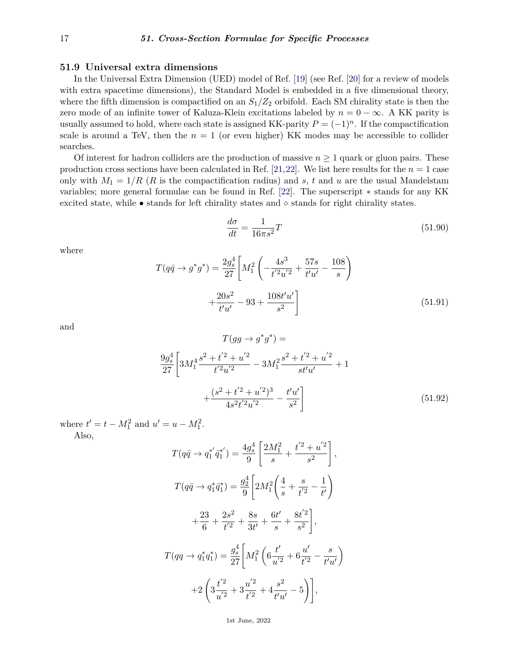## **51.9 Universal extra dimensions**

In the Universal Extra Dimension (UED) model of Ref. [\[19\]](#page-19-18) (see Ref. [\[20\]](#page-19-19) for a review of models with extra spacetime dimensions), the Standard Model is embedded in a five dimensional theory, where the fifth dimension is compactified on an  $S_1/Z_2$  orbifold. Each SM chirality state is then the zero mode of an infinite tower of Kaluza-Klein excitations labeled by  $n = 0 - \infty$ . A KK parity is usually assumed to hold, where each state is assigned KK-parity  $P = (-1)^n$ . If the compactification scale is around a TeV, then the  $n = 1$  (or even higher) KK modes may be accessible to collider searches.

Of interest for hadron colliders are the production of massive  $n \geq 1$  quark or gluon pairs. These production cross sections have been calculated in Ref. [\[21,](#page-19-20)[22\]](#page-19-21). We list here results for the  $n = 1$  case only with  $M_1 = 1/R$  (*R* is the compactification radius) and *s*, *t* and *u* are the usual Mandelstam variables; more general formulae can be found in Ref. [\[22\]](#page-19-21). The superscript ∗ stands for any KK excited state, while • stands for left chirality states and ◦ stands for right chirality states.

$$
\frac{d\sigma}{dt} = \frac{1}{16\pi s^2}T\tag{51.90}
$$

where

$$
T(q\bar{q} \to g^*g^*) = \frac{2g_s^4}{27} \left[ M_1^2 \left( -\frac{4s^3}{t'^2 u'^2} + \frac{57s}{t'u'} - \frac{108}{s} \right) + \frac{20s^2}{t'u'} - 93 + \frac{108t'u'}{s^2} \right]
$$
(51.91)

and

$$
T(gg \to g^*g^*) =
$$
  
\n
$$
\frac{9g_s^4}{27} \left[ 3M_1^4 \frac{s^2 + t'^2 + u'^2}{t'^2 u'^2} - 3M_1^2 \frac{s^2 + t'^2 + u'^2}{st'u'} + 1 + \frac{(s^2 + t'^2 + u'^2)^3}{4s^2 t'^2 u'^2} - \frac{t'u'}{s^2} \right]
$$
\n(51.92)

where  $t' = t - M_1^2$  and  $u' = u - M_1^2$ .

Also,

$$
T(q\bar{q} \rightarrow q_1^{*'}\bar{q}_1^{*'}) = \frac{4g_s^4}{9} \left[ \frac{2M_1^2}{s} + \frac{t'^2 + u'^2}{s^2} \right],
$$
  

$$
T(q\bar{q} \rightarrow q_1^{*}\bar{q}_1^{*}) = \frac{g_2^4}{9} \left[ 2M_1^2 \left( \frac{4}{s} + \frac{s}{t'^2} - \frac{1}{t'} \right) + \frac{23}{6} + \frac{2s^2}{t'^2} + \frac{8s}{3t'} + \frac{6t'}{s} + \frac{8t'^2}{s^2} \right],
$$
  

$$
T(qq \rightarrow q_1^{*}q_1^{*}) = \frac{g_s^4}{27} \left[ M_1^2 \left( 6\frac{t'}{u'^2} + 6\frac{u'}{t'^2} - \frac{s}{t'u'} \right) + 2 \left( 3\frac{t'^2}{u'^2} + 3\frac{u'^2}{t'^2} + 4\frac{s^2}{t'u'} - 5 \right) \right],
$$

1st June, 2022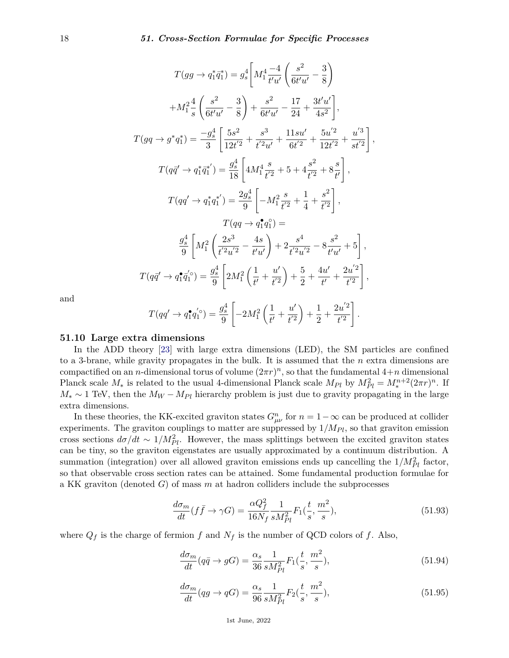$$
T(gg \to q_1^* \bar{q}_1^*) = g_s^4 \left[ M_1^4 \frac{-4}{t'u'} \left( \frac{s^2}{6t'u'} - \frac{3}{8} \right) \right.
$$
  
\n
$$
+ M_1^2 \frac{4}{s} \left( \frac{s^2}{6t'u'} - \frac{3}{8} \right) + \frac{s^2}{6t'u'} - \frac{17}{24} + \frac{3t'u'}{4s^2} \right],
$$
  
\n
$$
T(gq \to g^* q_1^*) = \frac{-g_s^4}{3} \left[ \frac{5s^2}{12t'^2} + \frac{s^3}{t'^2u'} + \frac{11su'}{6t'^2} + \frac{5u'^2}{12t'^2} + \frac{u'^3}{st'^2} \right],
$$
  
\n
$$
T(q\bar{q}' \to q_1^* \bar{q}_1^{*'}) = \frac{g_s^4}{18} \left[ 4M_1^4 \frac{s}{t'^2} + 5 + 4\frac{s^2}{t'^2} + 8\frac{s}{t'} \right],
$$
  
\n
$$
T(qq' \to q_1^* q_1^{*'}) = \frac{2g_s^4}{9} \left[ -M_1^2 \frac{s}{t'^2} + \frac{1}{4} + \frac{s^2}{t'^2} \right],
$$
  
\n
$$
T(qq \to q_1^* q_1^{*}) =
$$
  
\n
$$
\frac{g_s^4}{9} \left[ M_1^2 \left( \frac{2s^3}{t'^2u'^2} - \frac{4s}{t'u'} \right) + 2\frac{s^4}{t'^2u'^2} - 8\frac{s^2}{t'u'} + 5 \right],
$$
  
\n
$$
T(q\bar{q}' \to q_1^* \bar{q}_1^{*'}) = \frac{g_s^4}{9} \left[ 2M_1^2 \left( \frac{1}{t'} + \frac{u'}{t'^2} \right) + \frac{5}{2} + \frac{4u'}{t'} + \frac{2u'^2}{t'^2} \right],
$$

and

$$
T(qq' \to q_1^{\bullet}q_1^{'\circ}) = \frac{g_s^4}{9} \left[ -2M_1^2 \left( \frac{1}{t'} + \frac{u'}{t'^2} \right) + \frac{1}{2} + \frac{2u'^2}{t'^2} \right].
$$

## **51.10 Large extra dimensions**

In the ADD theory [\[23\]](#page-19-22) with large extra dimensions (LED), the SM particles are confined to a 3-brane, while gravity propagates in the bulk. It is assumed that the *n* extra dimensions are compactified on an *n*-dimensional torus of volume  $(2\pi r)^n$ , so that the fundamental  $4+n$  dimensional Planck scale  $M_*$  is related to the usual 4-dimensional Planck scale  $M_{Pl}$  by  $M_{Pl}^2 = M_*^{n+2}(2\pi r)^n$ . If  $M_* \sim 1$  TeV, then the  $M_W - M_{Pl}$  hierarchy problem is just due to gravity propagating in the large extra dimensions.

In these theories, the KK-excited graviton states  $G_{\mu\nu}^n$  for  $n = 1 - \infty$  can be produced at collider experiments. The graviton couplings to matter are suppressed by  $1/M_{Pl}$ , so that graviton emission cross sections  $d\sigma/dt \sim 1/M_{Pl}^2$ . However, the mass splittings between the excited graviton states can be tiny, so the graviton eigenstates are usually approximated by a continuum distribution. A summation (integration) over all allowed graviton emissions ends up cancelling the  $1/M_{Pl}^2$  factor, so that observable cross section rates can be attained. Some fundamental production formulae for a KK graviton (denoted *G*) of mass *m* at hadron colliders include the subprocesses

$$
\frac{d\sigma_m}{dt}(f\bar{f}\to\gamma G) = \frac{\alpha Q_f^2}{16N_f}\frac{1}{sM_{Pl}^2}F_1(\frac{t}{s},\frac{m^2}{s}),\tag{51.93}
$$

where  $Q_f$  is the charge of fermion  $f$  and  $N_f$  is the number of QCD colors of  $f$ . Also,

$$
\frac{d\sigma_m}{dt}(q\bar{q} \to gG) = \frac{\alpha_s}{36} \frac{1}{sM_{Pl}^2} F_1(\frac{t}{s}, \frac{m^2}{s}),\tag{51.94}
$$

$$
\frac{d\sigma_m}{dt}(qg \to qG) = \frac{\alpha_s}{96} \frac{1}{sM_{Pl}^2} F_2(\frac{t}{s}, \frac{m^2}{s}),\tag{51.95}
$$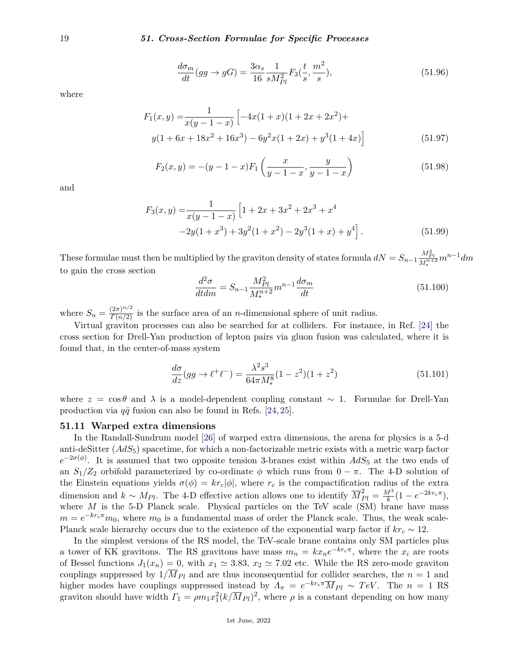$$
\frac{d\sigma_m}{dt}(gg \to gG) = \frac{3\alpha_s}{16} \frac{1}{sM_{Pl}^2} F_3(\frac{t}{s}, \frac{m^2}{s}),\tag{51.96}
$$

where

$$
F_1(x,y) = \frac{1}{x(y-1-x)} \left[ -4x(1+x)(1+2x+2x^2) + y(1+6x+18x^2+16x^3) - 6y^2x(1+2x) + y^3(1+4x) \right]
$$
(51.97)

$$
F_2(x,y) = -(y-1-x)F_1\left(\frac{x}{y-1-x}, \frac{y}{y-1-x}\right) \tag{51.98}
$$

and

$$
F_3(x,y) = \frac{1}{x(y-1-x)} \left[ 1 + 2x + 3x^2 + 2x^3 + x^4
$$
  
-2y(1+x<sup>3</sup>) + 3y<sup>2</sup>(1+x<sup>2</sup>) - 2y<sup>3</sup>(1+x) + y<sup>4</sup> \right]. (51.99)

These formulae must then be multiplied by the graviton density of states formula  $dN = S_{n-1} \frac{M_{Pl}^2}{M_*^{n+2}} m^{n-1} dm$ to gain the cross section

$$
\frac{d^2\sigma}{dt dm} = S_{n-1} \frac{M_{Pl}^2}{M_*^{n+2}} m^{n-1} \frac{d\sigma_m}{dt}
$$
\n(51.100)

where  $S_n = \frac{(2\pi)^{n/2}}{\Gamma(n/2)}$  is the surface area of an *n*-dimensional sphere of unit radius.

Virtual graviton processes can also be searched for at colliders. For instance, in Ref. [\[24\]](#page-19-23) the cross section for Drell-Yan production of lepton pairs via gluon fusion was calculated, where it is found that, in the center-of-mass system

$$
\frac{d\sigma}{dz}(gg \to \ell^+ \ell^-) = \frac{\lambda^2 s^3}{64\pi M_*^8} (1 - z^2)(1 + z^2)
$$
\n(51.101)

where  $z = \cos \theta$  and  $\lambda$  is a model-dependent coupling constant  $\sim 1$ . Formulae for Drell-Yan production via  $q\bar{q}$  fusion can also be found in Refs. [\[24,](#page-19-23) [25\]](#page-20-0).

#### **51.11 Warped extra dimensions**

In the Randall-Sundrum model [\[26\]](#page-20-1) of warped extra dimensions, the arena for physics is a 5-d anti-deSitter (*AdS*5) spacetime, for which a non-factorizable metric exists with a metric warp factor  $e^{-2\sigma(\phi)}$ . It is assumed that two opposite tension 3-branes exist within  $AdS_5$  at the two ends of an  $S_1/Z_2$  orbifold parameterized by co-ordinate  $\phi$  which runs from  $0 - \pi$ . The 4-D solution of the Einstein equations yields  $\sigma(\phi) = kr_c |\phi|$ , where  $r_c$  is the compactification radius of the extra dimension and  $k \sim M_{Pl}$ . The 4-D effective action allows one to identify  $\overline{M}_{Pl}^2 = \frac{M^3}{k}$  $\frac{d^3}{k}(1 - e^{-2kr_c\pi}),$ where *M* is the 5-D Planck scale. Physical particles on the TeV scale (SM) brane have mass  $m = e^{-k r_c \pi} m_0$ , where  $m_0$  is a fundamental mass of order the Planck scale. Thus, the weak scale-Planck scale hierarchy occurs due to the existence of the exponential warp factor if  $kr_c \sim 12$ .

In the simplest versions of the RS model, the TeV-scale brane contains only SM particles plus a tower of KK gravitons. The RS gravitons have mass  $m_n = kx_n e^{-kr_c\pi}$ , where the  $x_i$  are roots of Bessel functions  $J_1(x_n) = 0$ , with  $x_1 \approx 3.83$ ,  $x_2 \approx 7.02$  etc. While the RS zero-mode graviton couplings suppressed by  $1/M_{Pl}$  and are thus inconsequential for collider searches, the  $n=1$  and higher modes have couplings suppressed instead by  $\Lambda_{\pi} = e^{-kr_c\pi} \overline{M}_{Pl} \sim TeV$ . The  $n = 1$  RS graviton should have width  $\Gamma_1 = \rho m_1 x_1^2 (k / \overline{M}_{Pl})^2$ , where  $\rho$  is a constant depending on how many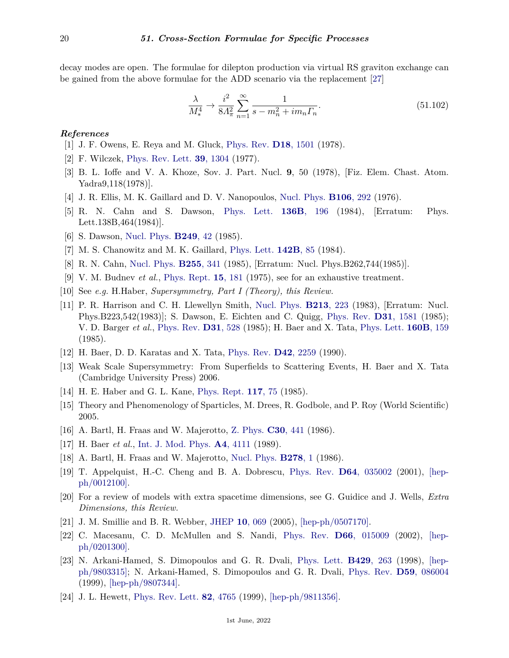decay modes are open. The formulae for dilepton production via virtual RS graviton exchange can be gained from the above formulae for the ADD scenario via the replacement [\[27\]](#page-20-2)

$$
\frac{\lambda}{M_*^4} \to \frac{i^2}{8\Lambda_\pi^2} \sum_{n=1}^\infty \frac{1}{s - m_n^2 + i m_n \Gamma_n}.
$$
\n(51.102)

### <span id="page-19-0"></span>*References*

- [1] J. F. Owens, E. Reya and M. Gluck, [Phys. Rev.](http://doi.org/10.1103/PhysRevD.18.1501) **D18**[, 1501](http://doi.org/10.1103/PhysRevD.18.1501) (1978).
- <span id="page-19-1"></span>[2] F. Wilczek, [Phys. Rev. Lett.](http://doi.org/10.1103/PhysRevLett.39.1304) **39**[, 1304](http://doi.org/10.1103/PhysRevLett.39.1304) (1977).
- <span id="page-19-2"></span>[3] B. L. Ioffe and V. A. Khoze, Sov. J. Part. Nucl. **9**, 50 (1978), [Fiz. Elem. Chast. Atom. Yadra9,118(1978)].
- <span id="page-19-3"></span>[4] J. R. Ellis, M. K. Gaillard and D. V. Nanopoulos, [Nucl. Phys.](http://doi.org/10.1016/0550-3213(76)90382-5) **[B106](http://doi.org/10.1016/0550-3213(76)90382-5)**, 292 (1976).
- <span id="page-19-4"></span>[5] R. N. Cahn and S. Dawson, [Phys. Lett.](http://doi.org/10.1016/0370-2693(84)91180-8) **136B**[, 196](http://doi.org/10.1016/0370-2693(84)91180-8) (1984), [Erratum: Phys. Lett.138B,464(1984)].
- <span id="page-19-6"></span><span id="page-19-5"></span>[6] S. Dawson, [Nucl. Phys.](http://doi.org/10.1016/0550-3213(85)90038-0) **[B249](http://doi.org/10.1016/0550-3213(85)90038-0)**, 42 (1985).
- [7] M. S. Chanowitz and M. K. Gaillard, [Phys. Lett.](http://doi.org/10.1016/0370-2693(84)91141-9) **[142B](http://doi.org/10.1016/0370-2693(84)91141-9)**, 85 (1984).
- <span id="page-19-7"></span>[8] R. N. Cahn, [Nucl. Phys.](http://doi.org/10.1016/0550-3213(85)90139-7) **[B255](http://doi.org/10.1016/0550-3213(85)90139-7)**, 341 (1985), [Erratum: Nucl. Phys.B262,744(1985)].
- <span id="page-19-8"></span>[9] V. M. Budnev *et al.*, [Phys. Rept.](http://doi.org/10.1016/0370-1573(75)90009-5) **15**[, 181](http://doi.org/10.1016/0370-1573(75)90009-5) (1975), see for an exhaustive treatment.
- <span id="page-19-9"></span>[10] See *e.g.* H.Haber, *Supersymmetry, Part I (Theory), this Review.*
- <span id="page-19-10"></span>[11] P. R. Harrison and C. H. Llewellyn Smith, [Nucl. Phys.](http://doi.org/10.1016/0550-3213(83)90510-2) **[B213](http://doi.org/10.1016/0550-3213(83)90510-2)**, 223 (1983), [Erratum: Nucl. Phys.B223,542(1983)]; S. Dawson, E. Eichten and C. Quigg, [Phys. Rev.](http://doi.org/10.1103/PhysRevD.31.1581) **D31**[, 1581](http://doi.org/10.1103/PhysRevD.31.1581) (1985); V. D. Barger *et al.*, [Phys. Rev.](http://doi.org/10.1103/PhysRevD.31.528) **D31**[, 528](http://doi.org/10.1103/PhysRevD.31.528) (1985); H. Baer and X. Tata, [Phys. Lett.](http://doi.org/10.1016/0370-2693(85)91484-4) **[160B](http://doi.org/10.1016/0370-2693(85)91484-4)**, 159 (1985).
- <span id="page-19-11"></span>[12] H. Baer, D. D. Karatas and X. Tata, [Phys. Rev.](http://doi.org/10.1103/PhysRevD.42.2259) **D42**[, 2259](http://doi.org/10.1103/PhysRevD.42.2259) (1990).
- <span id="page-19-13"></span>[13] Weak Scale Supersymmetry: From Superfields to Scattering Events, H. Baer and X. Tata (Cambridge University Press) 2006.
- <span id="page-19-12"></span>[14] H. E. Haber and G. L. Kane, [Phys. Rept.](http://doi.org/10.1016/0370-1573(85)90051-1) **[117](http://doi.org/10.1016/0370-1573(85)90051-1)**, 75 (1985).
- <span id="page-19-14"></span>[15] Theory and Phenomenology of Sparticles, M. Drees, R. Godbole, and P. Roy (World Scientific) 2005.
- <span id="page-19-15"></span>[16] A. Bartl, H. Fraas and W. Majerotto, [Z. Phys.](http://doi.org/10.1007/BF01557609) **C30**[, 441](http://doi.org/10.1007/BF01557609) (1986).
- <span id="page-19-17"></span><span id="page-19-16"></span>[17] H. Baer *et al.*, [Int. J. Mod. Phys.](http://doi.org/10.1142/S0217751X89001709) **A4**[, 4111](http://doi.org/10.1142/S0217751X89001709) (1989).
- [18] A. Bartl, H. Fraas and W. Majerotto, [Nucl. Phys.](http://doi.org/10.1016/0550-3213(86)90104-5) **[B278](http://doi.org/10.1016/0550-3213(86)90104-5)**, 1 (1986).
- <span id="page-19-18"></span>[19] T. Appelquist, H.-C. Cheng and B. A. Dobrescu, [Phys. Rev.](http://doi.org/10.1103/PhysRevD.64.035002) **D64**[, 035002](http://doi.org/10.1103/PhysRevD.64.035002) (2001), [\[hep](https://arxiv.org/abs/hep-ph/0012100)[ph/0012100\].](https://arxiv.org/abs/hep-ph/0012100)
- <span id="page-19-19"></span>[20] For a review of models with extra spacetime dimensions, see G. Guidice and J. Wells, *Extra Dimensions, this Review.*
- <span id="page-19-20"></span>[21] J. M. Smillie and B. R. Webber, [JHEP](http://doi.org/10.1088/1126-6708/2005/10/069) **10**[, 069](http://doi.org/10.1088/1126-6708/2005/10/069) (2005), [\[hep-ph/0507170\].](https://arxiv.org/abs/hep-ph/0507170)
- <span id="page-19-21"></span>[22] C. Macesanu, C. D. McMullen and S. Nandi, [Phys. Rev.](http://doi.org/10.1103/PhysRevD.66.015009) **D66**[, 015009](http://doi.org/10.1103/PhysRevD.66.015009) (2002), [\[hep](https://arxiv.org/abs/hep-ph/0201300)[ph/0201300\].](https://arxiv.org/abs/hep-ph/0201300)
- <span id="page-19-22"></span>[23] N. Arkani-Hamed, S. Dimopoulos and G. R. Dvali, [Phys. Lett.](http://doi.org/10.1016/S0370-2693(98)00466-3) **[B429](http://doi.org/10.1016/S0370-2693(98)00466-3)**, 263 (1998), [\[hep](https://arxiv.org/abs/hep-ph/9803315)[ph/9803315\];](https://arxiv.org/abs/hep-ph/9803315) N. Arkani-Hamed, S. Dimopoulos and G. R. Dvali, [Phys. Rev.](http://doi.org/10.1103/PhysRevD.59.086004) **D59**[, 086004](http://doi.org/10.1103/PhysRevD.59.086004) (1999), [\[hep-ph/9807344\].](https://arxiv.org/abs/hep-ph/9807344)
- <span id="page-19-23"></span>[24] J. L. Hewett, [Phys. Rev. Lett.](http://doi.org/10.1103/PhysRevLett.82.4765) **82**[, 4765](http://doi.org/10.1103/PhysRevLett.82.4765) (1999), [\[hep-ph/9811356\].](https://arxiv.org/abs/hep-ph/9811356)